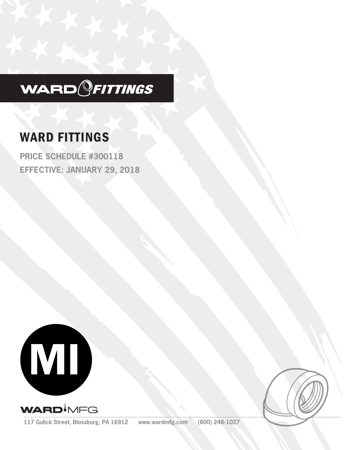

# WARD FITTINGS

**PRICE SCHEDULE #300118 EFFECTIVE: JANUARY 29, 2018**





**117 Gulick Street, Blossburg, PA 16912 www.wardmfg.com (800) 248-1027**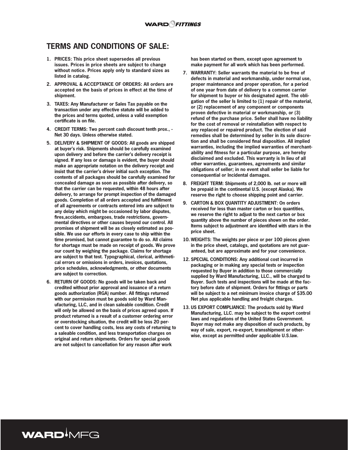## **TERMS AND CONDITIONS OF SALE:**

- **1. PRICES: This price sheet supersedes all previous issues. Prices in price sheets are subject to change without notice. Prices apply only to standard sizes as listed in catalog.**
- **2. APPROVAL & ACCEPTANCE OF ORDERS: All orders are accepted on the basis of prices in effect at the time of shipment.**
- **3. TAXES: Any Manufacturer or Sales Tax payable on the transaction under any effective statute will be added to the prices and terms quoted, unless a valid exemption certificate is on file.**
- **4. CREDIT TERMS: Two percent cash discount tenth prox., Net 30 days. Unless otherwise stated.**
- **5. DELIVERY & SHIPMENT OF GOODS: All goods are shipped at buyer's risk. Shipments should be carefully examined upon delivery and before the carrier's delivery receipt is signed. If any loss or damage is evident, the buyer should make an appropriate notation on the delivery receipt and insist that the carrier's driver initial such exception. The contents of all packages should be carefully examined for concealed damage as soon as possible after delivery, so that the carrier can be requested, within 48 hours after delivery, to arrange for prompt inspection of the damaged goods. Completion of all orders accepted and fulfillment of all agreements or contracts entered into are subject to any delay which might be occasioned by labor disputes, fires,accidents, embargoes, trade restrictions, governmental directives or other causes beyond our control. All promises of shipment will be as closely estimated as possible. We use our efforts in every case to ship within the time promised, but cannot guarantee to do so. All claims for shortage must be made on receipt of goods. We prove our count by weighing the package. Claims for shortage are subject to that test. Typographical, clerical, arithmetical errors or omissions in orders, invoices, quotations, price schedules, acknowledgments, or other documents are subject to correction.**
- **6. RETURN OF GOODS: No goods will be taken back and credited without prior approval and issuance of a return goods authorization (RGA) number. All fittings returned with our permission must be goods sold by Ward Manufacturing, LLC, and in clean saleable condition. Credit will only be allowed on the basis of prices agreed upon. If product returned is a result of a customer ordering error or overstocking situation, the credit will be less 20 percent to cover handling costs, less any costs of returning to a saleable condition, and less transportation charges on original and return shipments. Orders for special goods are not subject to cancellation for any reason after work**

WARD<sup>I</sup>MFG

**has been started on them, except upon agreement to make payment for all work which has been performed.**

- **7. WARRANTY: Seller warrants the material to be free of defects in material and workmanship, under normal use, proper maintenance and proper operation, for a period of one year from date of delivery to a common carrier for shipment to buyer or his designated agent. The obligation of the seller Is limited to (1) repair of the material, or (2) replacement of any component or components proven defective in material or workmanship, or (3) refund of the purchase price. Seller shall have no liability for the cost of removal or reinstallation with respect to any replaced or repaired product. The election of said remedies shall be determined by seller in its sole discretion and shall be considered final disposition. All implied warranties, including the implied warranties of merchantability and fitness for a particular purpose, are hereby disclaimed and excluded. This warranty is In lieu of all other warranties, guarantees, agreements and similar obligations of seller; in no event shall seller be liable for consequential or Incidental damages.**
- **8. FREIGHT TERM: Shipments of 2,000 lb. net or more will be prepaid in the continental U.S. (except Alaska). We reserve the right to choose shipping point and carrier.**
- **9. CARTON & BOX QUANTITY ADJUSTMENT: On orders received for less than master carton or box quantities, we reserve the right to adjust to the next carton or box quantity above the number of pieces shown on the order. Items subject to adjustment are identified with stars in the price sheet.**
- **10. WEIGHTS: The weights per piece or per 100 pieces given in the price sheet, catalogs, and quotations are not guaranteed, but are approximate and for your convenience.**
- **12. SPECIAL CONDITIONS: Any additional cost incurred in packaging or in making any special tests or inspection requested by Buyer in addition to those commercially supplied by Ward Manufacturing, LLC., will be charged to Buyer. Such tests and inspections will be made at the factory before date of shipment. Orders for fittings or parts will be subject to a net minimum invoice charge of \$35.00 Net plus applicable handling and freight charges.**
- **13. US EXPORT COMPLIANCE: The products sold by Ward Manufacturing, LLC. may be subject to the export control laws and regulations of the United States Government. Buyer may not make any disposition of such products, by way of sale, export, re-export, transshipment or otherwise, except as permitted under applicable U.S.law.**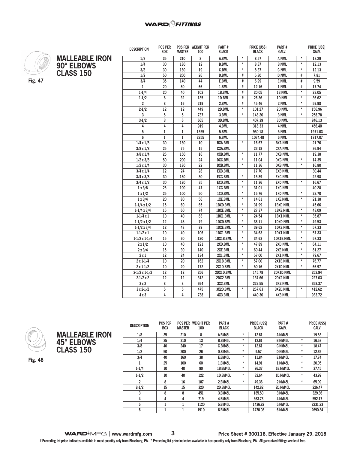

**MALLEABLE IRON 90° ELBOWS CLASS 150**

| ۰. |  |
|----|--|
|----|--|

| <b>DESCRIPTION</b><br><b>BOX</b>      | <b>MASTER</b>   | PCS PER WEIGHT PER<br>100 | Part#<br><b>BLACK</b> |                   | <b>PRICE (USS)</b><br><b>BLACK</b> | Part#<br>GALV.  |                   | <b>PRICE (USS)</b><br>GALV. |
|---------------------------------------|-----------------|---------------------------|-----------------------|-------------------|------------------------------------|-----------------|-------------------|-----------------------------|
|                                       |                 |                           |                       | $\pmb{\star}$     |                                    |                 | $\pmb{\ast}$      |                             |
| 35<br>1/8                             | 210             | 8                         | A.BML                 | $\star$           | 8.57                               | A.NML           | $\star$           | 13.29                       |
| 1/4<br>30                             | 180             | 12                        | <b>B.BML</b>          | $\star$           | 8.37                               | <b>B.NML</b>    | $^\star$          | 12.13                       |
| 3/8<br>30                             | 180             | 19                        | C.BML                 |                   | 8.37                               | <b>C.NML</b>    |                   | 12.13                       |
| 1/2<br>50                             | 200             | 26                        | <b>D.BML</b>          | #                 | 5.80                               | <b>D.NML</b>    | #                 | 7.81                        |
| 3/4<br>35                             | 140             | 44                        | E.BML                 | #                 | 6.99                               | <b>E.NML</b>    | #                 | 9.59                        |
| $\mathbf 1$<br>20                     | 80              | 66                        | 1.BML                 | #                 | 12.16                              | 1.NML           | #                 | 17.74                       |
| 20<br>$1 - 1/4$                       | 40              | 102                       | 1B.BML                | #                 | 20.05                              | 1B.NML          | $\star$           | 28.05                       |
| $1 - 1/2$<br>8                        | $\overline{32}$ | 135                       | 1D.BML                | #                 | 26.36                              | 1D.NML          | $\star$           | 36.62                       |
| $\overline{\mathbf{c}}$<br>8          | $\overline{16}$ | 219                       | 2.BML                 | #                 | 45.46                              | 2.NML           | $\star$           | 59.98                       |
| $\overline{12}$<br>$2 - 1/2$          | 12              | 449                       | 2D.BML                | $\star$           | 101.27                             | 2D.NML          | $\star$           | 156.96                      |
| 3<br>5                                | 5               | 737                       | 3.BML                 | $\star$           | 148.20                             | 3.NML           | $\star$           | 258.78                      |
| $\mathsf 3$<br>$3-1/2$                | 6               | 665                       | 3D.BML                |                   | 407.39                             | 3D.NML          |                   | 846.13                      |
| 4<br>4                                | 4               | 919                       | 4.BML                 |                   | 318.33                             | 4.NML           |                   | 456.40                      |
| 5<br>$\mathbf{1}$                     | $\mathbf{1}$    | 1355                      | 5.BML                 |                   | 930.18                             | 5.NML           |                   | 1971.03                     |
| 6<br>$\,1$                            | $\mathbf{1}$    | 2255                      | 6.BML                 |                   | 1074.48                            | 6.NML           |                   | 1817.07                     |
| 30<br>$1/4 \times 1/8$                | 180             | 10                        | <b>BXA.BML</b>        | $\star$           | 16.67                              | <b>BXA.NML</b>  |                   | 21.76                       |
| 25<br>$3/8 \times 1/8$                | 75              | 15                        | <b>CXA.BML</b>        |                   | 23.18                              | <b>CXA.NML</b>  |                   | 36.94                       |
| 25<br>$3/8 \times 1/4$                | 150             | 16                        | <b>CXB.BML</b>        | $\pmb{\star}$     | 11.77                              | <b>CXB.NML</b>  |                   | 19.38                       |
| 50<br>$1/2 \times 3/8$                | 200             | 24                        | <b>DXC.BML</b>        | $\star$           | 11.04                              | <b>DXC.NML</b>  | $\star$           | 14.35                       |
| 30<br>$1/2 \times 1/4$                | 180             | $\overline{22}$           | <b>DXB.BML</b>        | $\star$           | 11.36                              | <b>DXB.NML</b>  | $\star$           | 16.80                       |
| 12<br>$3/4 \times 1/4$                | 24              | 28                        | <b>EXB.BML</b>        |                   | 17.70                              | <b>EXB.NML</b>  |                   | 30.44                       |
| 30<br>$3/4 \times 3/8$                | 180             | 30                        | <b>EXC.BML</b>        | $\star$           | 15.89                              | <b>EXC.NML</b>  |                   | 22.98                       |
| $\overline{30}$<br>$3/4 \times 1/2$   | 120             | 35                        | <b>EXD.BML</b>        | $\overline{\ast}$ | 11.36                              | <b>EXD.NML</b>  | $\overline{\ast}$ | 16.67                       |
| 25<br>$1 \times 3/8$                  | 100             | 47                        | 1XC.BML               | $\star$           | 31.01                              | <b>1XC.NML</b>  |                   | 40.28                       |
| 25<br>$1 \times 1/2$                  | 100             | 50                        | 1XD.BML               | $\star$           | 15.76                              | 1XD.NML         | $^\star$          | 22.70                       |
| $1 \times 3/4$<br>20                  | 80              | 56                        | 1XE.BML               | $\star$           | 14.61                              | 1XE.NML         | $\star$           | 21.38                       |
| 15<br>$1-1/4 \times 1/2$              | 60              | 65                        | 1BXD.BML              | $\star$           | 31.99                              | 1BXD.NML        |                   | 45.66                       |
| $\overline{15}$<br>$1-1/4 \times 3/4$ | 60              | $\overline{74}$           | 1BXE.BML              | $\star$           | 27.37                              | <b>1BXE.NML</b> | $^\star$          | 43.09                       |
| 10<br>$1-1/4x1$                       | 40              | 83                        | 1BX1.BML              | $\star$           | 24.54                              | 1BX1.NML        | $\star$           | 35.87                       |
| 12<br>$1-1/2 \times 1/2$              | 48              | 79                        | 1DXD.BML              | $\star$           | 38.11                              | 1DXD.NML        | $\star$           | 49.53                       |
| 12<br>$1-1/2 \times 3/4$              | 48              | 89                        | 1DXE.BML              | $\star$           | 39.62                              | <b>1DXE.NML</b> | $\star$           | 57.33                       |
| 10<br>$1-1/2 \times 1$                | 40              | 106                       | 1DX1.BML              | $\star$           | 34.63                              | 1DX1.NML        | $\star$           | 57.33                       |
| 15<br>$1-1/2 \times 1-1/4$            | 30              | 120                       | 1DX1B.BML             | $\star$           | 34.63                              | 1DX1B.NML       | $\overline{\ast}$ | 57.33                       |
| 10<br>$2 \times 1/2$                  | 40              | 121                       | 2XD.BML               | $\star$           | 47.89                              | 2XD.NML         | $\star$           | 64.11                       |
| 15<br>$2 \times 3/4$                  | 30              | 140                       | 2XE.BML               | $\star$           | 60.44                              | 2XE.NML         | $\star$           | 81.27                       |
| $\overline{2} \times 1$<br>12         | 24              | 134                       | 2X1.BML               | $\star$           | 57.00                              | 2X1.NML         | $\star$           | 79.67                       |
| $2 \times 1 - 1/4$<br>10              | 20              | 162                       | 2X1B.BML              | $\star$           | 57.00                              | 2X1B.NML        | $\star$           | 76.77                       |
| 10<br>$2 \times 1 - 1/2$              | $\overline{20}$ | 172                       | 2X1D.BML              | $^\star$          | 50.16                              | 2X1D.NML        | $^\star$          | 66.97                       |
| 12<br>$2-1/2 \times 1-1/2$            | 12              | 256                       | 2DX1D.BML             |                   | 145.78                             | 2DX1D.NML       |                   | 252.94                      |
| 12<br>$2-1/2 \times 2$                | 12              | 312                       | 2DX2.BML              |                   | 137.66                             | 2DX2.NML        |                   | 227.03                      |
| 8<br>3x2                              | 8               | 364                       | 3X2.BML               |                   | 222.55                             | 3X2.NML         |                   | 358.37                      |
| 5<br>$3 \times 2 - 1/2$               | 5               | 475                       | 3X2D.BML              | $\star$           | 257.63                             | 3X2D.NML        | $\star$           | 412.62                      |
| $\overline{4}$<br>4 x 3               | 4               | 738                       | 4X3.BML               |                   | 440.30                             | 4X3.NML         |                   | 933.72                      |





**DESCRIPTION PCS PER BOX PCS PER WEIGHT PER MASTER 100 PART # BLACK PRICE (US\$) BLACK PART # GALV. PRICE (US\$) GALV. 1/8 35 210 8 A.BM45L \* 12.61 A.NM45L 19.53 1/4 35 210 13 B.BM45L \* 12.61 B.NM45L \* 16.53 3/8 40 240 17 C.BM45L \* 12.61 C.NM45L \* 18.47 1/2 50 200 26 D.BM45L \* 9.57 D.NM45L \* 12.35 3/4 40 160 38 E.BM45L \* 11.84 E.NM45L \* 17.74 1 25 100 60 1.BM45L \* 14.91 1.NM45L \* 20.05 1-1/4 10 40 90 1B.BM45L \* 26.37 1B.NM45L \* 37.45 1-1/2 10 40 122 1D.BM45L \* 32.64 1D.NM45L \* 43.99 2 8 16 187 2.BM45L \* 49.36 2.NM45L \* 65.09 2-1/2 15 15 320 2D.BM45L 142.82 2D.NM45L 226.47 3 8 8 451 3.BM45L 185.50 3.NM45L 329.36 4 4 4 719 4.BM45L 363.73 4.NM45L 552.17 5 1 1 1120 5.BM45L 1436.82 5.NM45L 2231.23 6 1 1 1910 6.BM45L 1470.03 6.NM45L 2690.34**

**Fig. 48**

**WARD**<sup> $\bullet$ </sup>MFG | www.wardmfg.com 3<br>**Price Sheet # 300118, Effective January 29, 2018**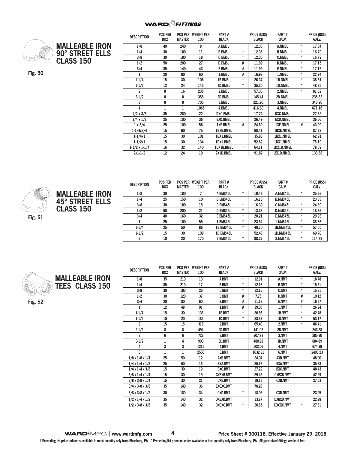#### **WARD**OFITTINGS



| <b>MALLEABLE IRON</b> |
|-----------------------|
| 90° STREET ELLS       |
| <b>CLASS 150</b>      |

**Fig. 50**

| <b>DESCRIPTION</b>   | <b>PCS PER</b><br><b>BOX</b> | <b>MASTER</b> | <b>PCS PER WEIGHT PER</b><br>100 | PART#<br><b>BLACK</b> |            | <b>PRICE (US\$)</b><br><b>BLACK</b> | PART#<br><b>GALV.</b> |         | PRICE (US\$)<br>GALV. |
|----------------------|------------------------------|---------------|----------------------------------|-----------------------|------------|-------------------------------------|-----------------------|---------|-----------------------|
| 1/8                  | 40                           | 240           | 8                                | <b>A.BMSL</b>         | $\star$    | 12.36                               | <b>A.NMSL</b>         | $^\ast$ | 17.34                 |
| 1/4                  | 30                           | 180           | 11                               | <b>B.BMSL</b>         | $\star$    | 12.36                               | <b>B.NMSL</b>         | $\star$ | 16.79                 |
| 3/8                  | 30                           | 180           | 18                               | <b>C.BMSL</b>         | $\star$    | 12.36                               | <b>C.NMSL</b>         | $\star$ | 16.79                 |
| 1/2                  | 50                           | 200           | 27                               | <b>D.BMSL</b>         | #          | 11.99                               | <b>D.NMSL</b>         | $\star$ | 17.15                 |
| 3/4                  | 35                           | 140           | 43                               | <b>E.BMSL</b>         | #          | 11.99                               | <b>E.NMSL</b>         | $\star$ | 17.15                 |
| 1                    | 20                           | 80            | 60                               | 1.BMSL                | #          | 16.98                               | 1.NMSL                | $\star$ | 22.94                 |
| $1 - 1/4$            | 15                           | 30            | 106                              | <b>1B.BMSL</b>        | $\star$    | 26.37                               | <b>1B.NMSL</b>        | $\star$ | 38.51                 |
| $1 - 1/2$            | 12                           | 24            | 143                              | <b>1D.BMSL</b>        | *          | 35.30                               | <b>1D.NMSL</b>        | $^\ast$ | 48.35                 |
| $\overline{c}$       | 8                            | 16            | 236                              | 2.BMSL                | $\star$    | 57.36                               | 2.NMSL                | $\star$ | 81.52                 |
| $2 - 1/2$            | 8                            | 8             | 358                              | 2D.BMSL               |            | 145.41                              | 2D.NMSL               |         | 235.83                |
| 3                    | 8                            | 8             | 705                              | 3.BMSL                |            | 221.96                              | 3.NMSL                |         | 343.20                |
| 4                    |                              | 1             | 1065                             | 4.BMSL                |            | 416.80                              | 4.NMSL                |         | 671.16                |
| $1/2 \times 3/8$     | 35                           | 280           | 22                               | <b>DXC.BMSL</b>       |            | 17.74                               | <b>DXC.NMSL</b>       |         | 27.82                 |
| $3/4 \times 1/2$     | 25                           | 100           | 36                               | <b>EXD.BMSL</b>       |            | 26.49                               | <b>EXD.NMSL</b>       |         | 36.06                 |
| $1 \times 3/4$       | 25                           | 100           | 56                               | <b>1XE.BMSL</b>       | #          | 24.89                               | <b>1XE.NMSL</b>       | #       | 43.99                 |
| $1 - 1/4x3/4$        | 15                           | 60            | 75                               | <b>1BXE.BMSL</b>      |            | 68.41                               | <b>1BXE.NMSL</b>      |         | 87.62                 |
| $1 - 1/4x1$          | 15                           | 30            | 101                              | 1BX1.BMSL             |            | 35.83                               | <b>1BX1.NMSL</b>      |         | 62.91                 |
| $1 - 1/2x1$          | 15                           | 30            | 134                              | <b>1DX1.BMSL</b>      |            | 52.62                               | <b>1DX1.NMSL</b>      |         | 75.19                 |
| $1-1/2 \times 1-1/4$ | 16                           | 32            | 140                              | <b>1DX1B.BMSL</b>     | $^{\star}$ | 64.11                               | 1DX1B.NMSL            |         | 78.69                 |
| $2x1-1/2$            | 12                           | 24            | 19                               | 2X1D.BMSL             |            | 91.82                               | 2X1D.NMSL             |         | 133.68                |





| <b>DESCRIPTION</b> | <b>PCS PER</b><br><b>BOX</b> | <b>PCS PER</b><br><b>MASTER</b> | <b>WEIGHT PER</b><br>100 | PART#<br><b>BLACK</b> |         | PRICE (US\$)<br><b>BLACK</b> | PART#<br><b>GALV.</b> |         | PRICE (US\$)<br><b>GALV.</b> |
|--------------------|------------------------------|---------------------------------|--------------------------|-----------------------|---------|------------------------------|-----------------------|---------|------------------------------|
| 1/8                | 30                           | 180                             |                          | A.BMS45L              | $\ast$  | 19.46                        | A.NMS45L              |         | 25.26                        |
| 1/4                | 25                           | 150                             | 10                       | <b>B.BMS45L</b>       |         | 16.16                        | <b>B.NMS45L</b>       |         | 23.33                        |
| 3/8                | 30                           | 180                             | 15                       | C.BMS45L              | $\star$ | 16.39                        | C.NMS45L              | $\star$ | 24.89                        |
| 1/2                | 50                           | 200                             | 21                       | D.BMS45L              | $\ast$  | 13.38                        | D.NMS45L              | $\star$ | 18.86                        |
| 3/4                | 40                           | 160                             | 32                       | E.BMS45L              | $\ast$  | 20.21                        | E.NMS45L              | $\star$ | 29.93                        |
|                    | 25                           | 100                             | 55                       | <b>1.BMS45L</b>       | $\ast$  | 23.54                        | <b>1.NMS45L</b>       | $\star$ | 38.36                        |
| $1 - 1/4$          | 25                           | 50                              | 86                       | 1B.BMS45L             | $\ast$  | 40.70                        | 1B.NMS45L             | $\star$ | 57.55                        |
| $1-1/2$            | 15                           | 30                              | 109                      | <b>1D.BMS45L</b>      | $\ast$  | 52.48                        | 1D.NMS45L             | $\star$ | 69.70                        |
| 2                  | 10                           | 20                              | 170                      | 2.BMS45L              | $\ast$  | 88.27                        | 2.NMS45L              | $\star$ | 114.79                       |



**MALLEABLE IRON TEES CLASS 150**

**Fig. 52**

| <b>DESCRIPTION</b>          | <b>PCS PER</b> |               | <b>PCS PER WEIGHT PER</b> | Part #           |          | <b>PRICE (USS)</b> | Part#            |          | <b>PRICE (USS)</b> |
|-----------------------------|----------------|---------------|---------------------------|------------------|----------|--------------------|------------------|----------|--------------------|
|                             | <b>BOX</b>     | <b>MASTER</b> | 100                       | <b>BLACK</b>     |          | <b>BLACK</b>       | <b>GALV.</b>     |          | <b>GALV.</b>       |
| 1/8                         | 35             | 210           | 13                        | A.BMT            | $^\star$ | 12.91              | A.NMT            | $^\star$ | 18.78              |
| 1/4                         | 35             | 210           | 17                        | <b>B.BMT</b>     | $\star$  | 12.16              | <b>B.NMT</b>     | $\star$  | 15.81              |
| 3/8                         | 30             | 180           | 26                        | <b>C.BMT</b>     | $^\star$ | 12.16              | <b>C.NMT</b>     | $\star$  | 15.81              |
| 1/2                         | 30             | 120           | 37                        | <b>D.BMT</b>     | #        | 7.76               | <b>D.NMT</b>     | #        | 10.12              |
| 3/4                         | 20             | 80            | 60                        | <b>E.BMT</b>     | #        | 11.13              | <b>E.NMT</b>     | #        | 16.67              |
| 1                           | 12             | 48            | 91                        | 1.BMT            | #        | 19.05              | 1.NMT            | $\star$  | 26.94              |
| $1 - 1/4$                   | 15             | 30            | 138                       | 1B.BMT           | $\star$  | 30.86              | 1B.NMT           | $\star$  | 42.78              |
| $1 - 1/2$                   | 10             | 20            | 184                       | 1D.BMT           | $\star$  | 38.37              | 1D.NMT           | $\star$  | 53.17              |
| $\overline{2}$              | 15             | 15            | 316                       | 2.BMT            | $^\star$ | 65.40              | 2.NMT            | $\star$  | 86.41              |
| $2 - 1/2$                   | 8              | 8             | 494                       | 2D.BMT           |          | 141.02             | 2D.NMT           |          | 243.28             |
| 3                           | 6              | 6             | 722                       | 3.BMT            |          | 207.73             | 3.NMT            |          | 285.30             |
| $3-1/2$                     | 1              | 4             | 900                       | 3D.BMT           |          | 480.98             | 3D.NMT           |          | 684.89             |
| 4                           | 3              | 3             | 1215                      | 4.BMT            |          | 502.06             | 4.NMT            |          | 674.89             |
| 6                           | $\mathbf{1}$   | 1             | 2550                      | 6.BMT            |          | 1632.81            | 6.NMT            |          | 2406.23            |
| $1/8 \times 1/8 \times 1/4$ | 25             | 50            | 12                        | AXB.BMT          |          | 24.04              | <b>AXB.NMT</b>   |          | 48.00              |
| $1/4 \times 1/4 \times 1/8$ | 25             | 50            | 13                        | <b>BXA.BMT</b>   |          | 25.16              | <b>BXA.NMT</b>   |          | 35.33              |
| $1/4 \times 1/4 \times 3/8$ | 15             | 30            | 19                        | <b>BXC.BMT</b>   |          | 27.22              | <b>BXC.NMT</b>   |          | 48.43              |
| $3/8 \times 1/4 \times 1/4$ | 15             | 30            | 19                        | <b>CXBXB.BMT</b> |          | 29.45              | <b>CXBXB.NMT</b> |          | 42.29              |
| $3/8 \times 3/8 \times 1/4$ | 15             | 30            | 21                        | <b>CXB.BMT</b>   |          | 19.13              | <b>CXB.NMT</b>   |          | 27.63              |
| $3/4 \times 3/8 \times 3/8$ | 35             | 140           | 36                        | <b>EXCXC.BMT</b> |          | 70.26              |                  |          |                    |
| $3/8 \times 3/8 \times 1/2$ | 30             | 180           | 34                        | <b>CXD.BMT</b>   | $\star$  | 18.05              | <b>CXD.NMT</b>   |          | 23.95              |
| $1/2 \times 1/4 \times 1/2$ | 35             | 140           | 32                        | <b>DXBXD.BMT</b> |          | 13.87              | <b>DXBXD.NMT</b> |          | 22.99              |
| $1/2 \times 3/8 \times 3/8$ | 35             | 140           | 32                        | <b>DXCXC.BMT</b> | $\star$  | 20.65              | <b>DXCXC.NMT</b> | $\star$  | 27.61              |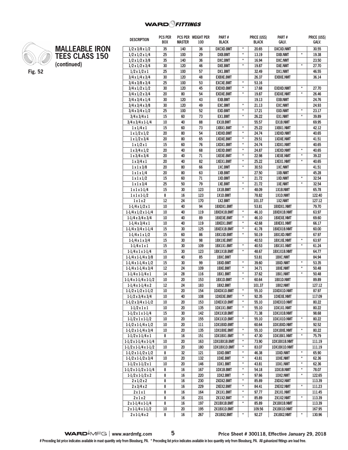**PCS PER WEIGHT PER** 

**PART #**

**PRICE (US\$)** 

**PART #**

**PRICE (US\$)** 

**DESCRIPTION PCS PER** 



**MALLEABLE IRON TEES CLASS 150 (continued)**

|                                      | <b>BOX</b>      | <b>MASILK</b> | 100   | <b>BLACK</b>      |               | <b>BLACK</b> | GALV.                 |               | GALV.  |
|--------------------------------------|-----------------|---------------|-------|-------------------|---------------|--------------|-----------------------|---------------|--------|
| $1/2 \times 3/8 \times 1/2$          | 35              | 140           | 36    | <b>DXCXD.BMT</b>  | $\star$       | 20.65        | <b>DXCXD.NMT</b>      |               | 30.55  |
| $1/2 \times 1/2 \times 1/4$          | 25              | 100           | 29    | <b>DXB.BMT</b>    | $\star$       | 13.19        | <b>DXB.NMT</b>        | $\star$       | 19.38  |
| $1/2 \times 1/2 \times 3/8$          | 35              | 140           | 36    | <b>DXC.BMT</b>    | $^\star$      | 16.94        | <b>DXC.NMT</b>        |               | 23.50  |
| $1/2 \times 1/2 \times 3/4$          | 30              | 120           | 46    | <b>DXE.BMT</b>    | $\star$       | 19.87        | <b>DXE.NMT</b>        | $\pmb{\star}$ | 27.70  |
| $1/2 \times 1/2 \times 1$            | 25              | 100           | 57    | DX1.BMT           |               | 32.49        | DX1.NMT               |               | 46.55  |
| $3/4 \times 1/4 \times 3/4$          | 30              | 120           | 48    | <b>EXBXE.BMT</b>  |               | 26.37        | <b>EXBXE.NMT</b>      |               | 36.14  |
| $3/4 \times 3/8 \times 3/4$          | 25              | 100           | 53    | <b>EXCXE.BMT</b>  | $\star$       | 53.16        |                       |               |        |
| $3/4 \times 1/2 \times 1/2$          | 30              | 120           | 45    | <b>EXDXD.BMT</b>  | $\pmb{\star}$ | 17.68        | <b>EXDXD.NMT</b>      | $\pmb{\star}$ | 27.70  |
| $3/4 \times 1/2 \times 3/4$          | 20              | 80            | 54    | <b>EXDXE.BMT</b>  | $\star$       | 19.87        | <b>EXDXE.NMT</b>      | $\star$       | 26.46  |
| $3/4 \times 3/4 \times 1/4$          | 30              | 120           | 43    | <b>EXB.BMT</b>    |               | 19.13        | <b>EXB.NMT</b>        |               | 24.76  |
| $3/4 \times 3/4 \times 3/8$          | 30              | 120           | 49    | <b>EXC.BMT</b>    | $\pmb{\star}$ | 21.13        | <b>EXC.NMT</b>        |               | 24.93  |
| $3/4 \times 3/4 \times 1/2$          | 25              | 100           | 52    | <b>EXD.BMT</b>    | $\star$       | 17.21        | <b>EXD.NMT</b>        | $\pmb{\ast}$  | 23.17  |
| $3/4 \times 3/4 \times 1$            | 15              | 60            | 73    | EX1.BMT           | $\pmb{\star}$ | 26.22        | EX1.NMT               | $\star$       | 39.89  |
| $3/4 \times 3/4 \times 1 - 1/4$      | 10              | 40            | 88    | EX1B.BMT          |               | 55.57        | <b>EX1B.NMT</b>       |               | 69.95  |
| $1 \times 1/4 \times 1$              | 15              | 60            | 73    | 1XBX1.BMT         | $\star$       | 25.22        | 1XBX1.NMT             |               | 42.12  |
| $1 \times 1/2 \times 1/2$            | $\overline{20}$ | 80            | 54    | 1XDXD.BMT         | $\pmb{\star}$ | 24.74        | <b>1XDXD.NMT</b>      |               | 40.65  |
| $1 \times 1/2 \times 3/4$            | 20              | 80            | 65    | 1XDXE.BMT         | $\star$       | 29.51        | <b>1XDXE.NMT</b>      |               | 41.51  |
| $1 \times 1/2 \times 1$              | 15              | 60            | 76    | 1XDX1.BMT         | $\star$       | 24.74        | 1XDX1.NMT             |               | 40.65  |
| $1 \times 3/4 \times 1/2$            | $\overline{20}$ | 40            | 68    | <b>1XEXD.BMT</b>  | $\pmb{\star}$ | 24.87        | <b>1XEXD.NMT</b>      | $^\star$      | 40.65  |
| $1 \times 3/4 \times 3/4$            | 20              | 40            | 71    | 1XEXE.BMT         | $\star$       | 22.98        | <b>1XEXE.NMT</b>      | $\star$       | 39.22  |
| $1 \times 3/4 \times 1$              | 20              | 40            | 82    | 1XEX1.BMT         | $\star$       | 25.22        | 1XEX1.NMT             | $\star$       | 40.65  |
| $1 \times 1 \times 3/8$              | 20              | 80            | 66    | 1XC.BMT           | $\star$       | 30.53        | 1XC.NMT               |               | 41.51  |
| $1 \times 1 \times 1/4$              | 20              | 80            | 63    | 1XB.BMT           |               | 27.50        | 1XB.NMT               |               | 45.28  |
| $1 \times 1 \times 1/2$              | 15              | 60            | 71    | 1XD.BMT           | $^\star$      | 21.72        | 1XD.NMT               | $\star$       | 32.54  |
| $1 \times 1 \times 3/4$              | 25              | 50            | 79    | 1XE.BMT           | $\pmb{\star}$ | 21.72        | 1XE.NMT               | $\star$       | 32.54  |
| $1 \times 1 \times 1 - 1/4$          | 15              | 30            | 123   | 1X1B.BMT          | $^\star$      | 48.09        | 1X1B.NMT              |               | 65.78  |
|                                      | 8               | 16            | 123   | 1X1D.BMT          |               | 78.82        | 1X1D.NMT              |               | 122.40 |
| $1 \times 1 \times 1 - 1/2$<br>1x1x2 | 12              | 24            | 170   | 1X2.BMT           |               | 101.37       |                       |               | 127.12 |
| $1-1/4 \times 1/2 \times 1$          | 10              | 40            | 94    | 1BXDX1.BMT        |               | 53.81        | 1X2.NMT<br>1BXDX1.NMT |               | 79.70  |
|                                      | 10              | 40            | 119   |                   | $\star$       |              |                       |               |        |
| $1-1/4 \times 1/2 \times 1-1/4$      | 10              | 40            | 89    | 1BXDX1B.BMT       | $\pmb{\ast}$  | 46.10        | 1BXDX1B.NMT           |               | 63.97  |
| $1-1/4 \times 3/4 \times 3/4$        |                 |               |       | <b>1BXEXE.BMT</b> | $\star$       | 46.10        | <b>1BXEXE.NMT</b>     |               | 69.60  |
| $1-1/4 \times 3/4 \times 1$          | 10              | 40            | 119   | 1BXEX1.BMT        | $\pmb{\star}$ | 42.68        | 1BXEX1.NMT            |               | 66.17  |
| $1-1/4 \times 3/4 \times 1-1/4$      | 15              | 30            | 125   | 1BXEX1B.BMT       | $\pmb{\star}$ | 41.78        | 1BXEX1B.NMT           |               | 60.00  |
| $1-1/4 \times 1 \times 1/2$          | 15              | 60            | 86    | 1BX1XD.BMT        |               | 50.19        | 1BX1XD.NMT            | $\star$       | 67.97  |
| $1-1/4 \times 1 \times 3/4$          | 15              | 30            | 98    | <b>1BX1XE.BMT</b> | $\pmb{\ast}$  | 40.53        | <b>1BX1XE.NMT</b>     | $\pmb{\star}$ | 63.97  |
| $1-1/4 \times 1 \times 1$            | 15              | 30            | 109   | 1BX1X1.BMT        | $\star$       | 40.53        | 1BX1X1.NMT            |               | 61.24  |
| $1-1/4 \times 1 \times 1-1/4$        | 15              | 30            | 123   | 1BX1X1B.BMT       |               | 48.67        | 1BX1X1B.NMT           |               | 64.77  |
| $1-1/4 \times 1-1/4 \times 3/8$      | 10              | 40            | 85    | 1BXC.BMT          | $\pmb{\ast}$  | 53.81        | <b>1BXC.NMT</b>       | $^\star$      | 84.94  |
| $1-1/4 \times 1-1/4 \times 1/2$      | 15              | 30            | 99    | 1BXD.BMT          | $\star$       | 39.60        | 1BXD.NMT              | $\star$       | 53.35  |
| $1-1/4 \times 1-1/4 \times 3/4$      | 12              | 24            | 109   | 1BXE.BMT          | $\star$       | 34.71        | <b>1BXE.NMT</b>       |               | 50.48  |
| $1-1/4 \times 1-1/4 \times 1$        | 14              | 28            | 116   | 1BX1.BMT          |               | 37.62        | 1BX1.NMT              | $\star$       | 50.48  |
| 1-1/4 x 1-1/4 x 1-1/2                | 10              | 20            | 153   | 1BX1D.BMT         | $\pmb{\star}$ | 60.64        | 1BX1D.NMT             |               | 89.89  |
| $1-1/4 \times 1-1/4 \times 2$        | 12              | 24            | 183   | 1BX2.BMT          |               | 101.37       | 1BX2.NMT              |               | 127.12 |
| $1-1/2 \times 1/2 \times 1-1/2$      | 10              | 20            | 154   | 1DXDX1D.BMT       | $\pmb{\star}$ | 55.10        | 1DXDX1D.NMT           |               | 87.97  |
| $1-1/2 \times 3/4 \times 3/4$        | $10$            | 40            | $108$ | <b>1DXEXE.BMT</b> | $^{\ast}$     | 92.35        | <b>1DXEXE.NMT</b>     |               | 117.09 |
| $1-1/2 \times 3/4 \times 1-1/2$      | 10              | 20            | 153   | 1DXEX1D.BMT       | $\pmb{\ast}$  | 55.10        | <b>1DXEX1D.NMT</b>    |               | 80.22  |
| $1-1/2 \times 1 \times 1$            | 10              | 20            | 135   | 1DX1X1.BMT        | $\star$       | 55.10        | 1DX1X1.NMT            |               | 80.22  |
| $1-1/2 \times 1 \times 1-1/4$        | 15              | 30            | 142   | 1DX1X1B.BMT       |               | 71.38        | 1DX1X1B.NMT           |               | 98.68  |
| $1-1/2 \times 1 \times 1-1/2$        | 10              | 20            | 155   | 1DX1X1D.BMT       | $\star$       | 55.10        | 1DX1X1D.NMT           | $\pmb{\ast}$  | 80.22  |
| $1-1/2 \times 1-1/4 \times 1/2$      | 10              | 20            | 111   | 1DX1BXD.BMT       |               | 60.64        | <b>1DX1BXD.NMT</b>    |               | 92.52  |
| $1-1/2 \times 1-1/4 \times 3/4$      | 10              | 20            | 135   | 1DX1BXE.BMT       | $\pmb{\ast}$  | 55.10        | <b>1DX1BXE.NMT</b>    | $\star$       | 80.22  |
| $1-1/2 \times 1-1/4 \times 1$        | 8               | 16            | 151   | 1DX1BX1.BMT       | $\pmb{\star}$ | 47.30        | 1DX1BX1.NMT           | $\star$       | 75.79  |
| $1-1/2 \times 1-1/4 \times 1-1/4$    | 10              | 20            | 163   | 1DX1BX1B.BMT      | $^\star$      | 73.90        | 1DX1BX1B.NMT          |               | 111.19 |
| $1-1/2 \times 1-1/4 \times 1-1/2$    | 10              | 20            | 180   | 1DX1BX1D.BMT      | $\pmb{\ast}$  | 83.07        | 1DX1BX1D.NMT          |               | 111.19 |
| $1-1/2 \times 1-1/2 \times 1/2$      | 8               | 32            | 121   | 1DXD.BMT          | *             | 46.38        | 1DXD.NMT              | $\ast$        | 65.90  |
| $1-1/2 \times 1-1/2 \times 3/4$      | 10              | 20            | 132   | <b>1DXE.BMT</b>   | $\pmb{\star}$ | 43.81        | <b>1DXE.NMT</b>       | $^\star$      | 62.36  |
| $1-1/2 \times 1-1/2 \times 1$        | 10              | 20            | 146   | 1DX1.BMT          | $\star$       | 43.81        | 1DX1.NMT              | $\star$       | 62.36  |
| 1-1/2 x 1-1/2 x 1-1/4                | 8               | 16            | 167   | 1DX1B.BMT         | $\pmb{\ast}$  | 54.18        | 1DX1B.NMT             | $\star$       | 78.07  |
| $1-1/2 \times 1-1/2 \times 2$        | 8               | 16            | 220   | 1DX2.BMT          | $\pmb{\ast}$  | 97.66        | 1DX2.NMT              | $\pmb{\ast}$  | 122.65 |
| $2 \times 1/2 \times 2$              | 8               | 16            | 230   | 2XDX2.BMT         | *             | 85.89        | 2XDX2.NMT             |               | 113.39 |
| $2 \times 3/4 \times 2$              | 8               | 16            | 229   | 2XEX2.BMT         | $\pmb{\ast}$  | 84.41        | 2XEX2.NMT             | $^\star$      | 111.23 |
| 2 x 1 x 1                            | 8               | 16            | 164   | 2X1X1.BMT         | $\pmb{\star}$ | 97.77        | <b>2X1X1.NMT</b>      |               | 111.45 |
| 2x1x2                                | 8               | 16            | 231   | 2X1X2.BMT         | $\pmb{\ast}$  | 85.89        | <b>2X1X2.NMT</b>      | $\pmb{\ast}$  | 113.39 |
| $2 \times 1 - 1/4 \times 1 - 1/4$    | 8               | 16            | 197   | 2X1BX1B.BMT       | $\pmb{\star}$ | 85.89        | 2X1BX1B.NMT           |               | 113.39 |
| $2 \times 1 - 1/4 \times 1 - 1/2$    | 10              | 20            | 195   | 2X1BX1D.BMT       |               | 109.56       | 2X1BX1D.NMT           |               | 167.95 |
| $2 \times 1 - 1/4 \times 2$          | 8               | 16            | 267   | 2X1BX2.BMT        | $\pmb{\ast}$  | 92.27        | 2X1BX2.NMT            | $\pmb{\ast}$  | 130.96 |
|                                      |                 |               |       |                   |               |              |                       |               |        |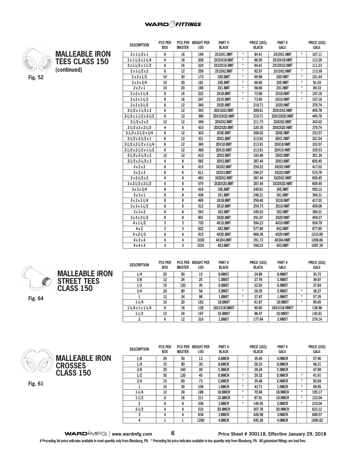#### **WARD**OFITTINGS



**MALLEABLE IRON TEES CLASS 150 (continued)**

| <b>DESCRIPTION</b>                | PUS PER<br><b>BOX</b> | <b>MASTER</b> | <b>PUS PER WEIGHT PER</b><br>100 | <b>PARI#</b><br><b>BLACK</b> |         | <b>PRICE (USS)</b><br><b>BLACK</b> | <b>PARI#</b><br>GALV. |         | <b>PRICE (USS)</b><br>GALV. |
|-----------------------------------|-----------------------|---------------|----------------------------------|------------------------------|---------|------------------------------------|-----------------------|---------|-----------------------------|
| $2 \times 1 - 1/2 \times 1$       | 8                     | 16            | 194                              | 2X1DX1.BMT                   | $\star$ | 84.41                              | 2X1DX1.NMT            | $\star$ | 107.11                      |
| $2 \times 1 - 1/2 \times 1 - 1/4$ | 8                     | 16            | 208                              | 2X1DX1B.BMT                  | $\star$ | 86.05                              | 2X1DX1B.NMT           |         | 113.39                      |
| $2 \times 1 - 1/2 \times 1 - 1/2$ | 8                     | 16            | 224                              | 2X1DX1D.BMT                  | $\star$ | 84.41                              | 2X1DX1D.NMT           |         | 111.23                      |
| $2 \times 1 - 1/2 \times 2$       | 6                     | 12            | 259                              | 2X1DX2.BMT                   | $\star$ | 92.97                              | 2X1DX2.NMT            | $\star$ | 113.39                      |
| $2 \times 2 \times 1/2$           | 10                    | 20            | 172                              | 2XD.BMT                      | ¥       | 69.96                              | 2XD.NMT               | $\star$ | 101.44                      |
| $2 \times 2 \times 3/4$           | 10                    | 20            | 181                              | 2XE.BMT                      | $\star$ | 68.66                              | 2XE.NMT               | $\star$ | 91.03                       |
| 2x2x1                             | 10                    | 20            | 198                              | 2X1.BMT                      | $\star$ | 68.66                              | 2X1.NMT               | $\star$ | 89.33                       |
| $2 \times 2 \times 1 - 1/4$       | 8                     | 16            | 222                              | 2X1B.BMT                     | $\star$ | 73.90                              | 2X1B.NMT              | $\star$ | 107.18                      |
| $2 \times 2 \times 1 - 1/2$       | 8                     | 16            | 247                              | 2X1D.BMT                     | $\star$ | 73.90                              | 2X1D.NMT              | $\star$ | 107.18                      |
| $2 \times 2 \times 2 - 1/2$       | 6                     | 12            | 340                              | 2X2D.BMT                     |         | 219.71                             | 2X2D.NMT              |         | 379.74                      |
| $2-1/2 \times 1-1/2 \times 2$     | 6                     | 12            | 343                              | 2DX1DX2.BMT                  |         | 289.61                             | 2DX1DX2.NMT           |         | 445.78                      |
| $2-1/2 \times 1-1/2 \times 2-1/2$ | 6                     | 12            | 390                              | 2DX1DX2D.BMT                 |         | 219.71                             | 2DX1DX2D.NMT          |         | 445.78                      |
| $2-1/2 \times 2 \times 2$         | 12                    | 12            | 349                              | 2DX2X2.BMT                   |         | 211.73                             | 2DX2X2.NMT            |         | 343.02                      |
| $2-1/2 \times 2 \times 2-1/2$     | 4                     | 8             | 410                              | 2DX2X2D.BMT                  |         | 220.35                             | 2DX2X2D.NMT           |         | 379.74                      |
| $2-1/2 \times 2-1/2 \times 3/4$   | 6                     | 12            | 303                              | 2DXE.BMT                     |         | 206.02                             | 2DXE.NMT              |         | 333.57                      |
| $2-1/2 \times 2-1/2 \times 1$     | 6                     | 12            | 321                              | 2DX1.BMT                     |         | 213.91                             | 2DX1.NMT              |         | 321.54                      |
| $2-1/2 \times 2-1/2 \times 1-1/4$ | 6                     | 12            | 340                              | 2DX1B.BMT                    |         | 213.91                             | 2DX1B.NMT             |         | 333.57                      |
| $2-1/2 \times 2-1/2 \times 1-1/2$ | 6                     | 12            | 368                              | 2DX1D.BMT                    |         | 213.91                             | 2DX1D.NMT             |         | 335.53                      |
| $2-1/2 \times 2-1/2 \times 2$     | 12                    | 12            | 410                              | 2DX2.BMT                     |         | 183.46                             | 2DX2.NMT              |         | 301.34                      |
| $2-1/2 \times 2-1/2 \times 3$     | 4                     | 8             | 582                              | 2DX3.BMT                     |         | 387.44                             | 2DX3.NMT              |         | 605.45                      |
| 3x2x2                             | 8                     | 8             | 415                              | 3X2X2.BMT                    |         | 259.22                             | 3X2X2.NMT             |         | 417.02                      |
| 3x2x3                             | 6                     | 6             | 611                              | 3X2X3.BMT                    |         | 294.27                             | 3X2X3.NMT             |         | 515.76                      |
| $3 \times 2 - 1/2 \times 2$       | 4                     | 8             | 483                              | 3X2DX2.BMT                   |         | 387.44                             | 3X2DX2.NMT            |         | 605.45                      |
| $3 \times 2 - 1/2 \times 2 - 1/2$ | 4                     | 8             | 575                              | 3X2DX2D.BMT                  |         | 387.44                             | 3X2DX2D.NMT           |         | 605.45                      |
| 3x3x3/4                           | 8                     | 8             | 416                              | 3XE.BMT                      |         | 249.81                             | 3XE.NMT               |         | 550.12                      |
| 3x3x1                             | 8                     | 8             | 436                              | 3X1.BMT                      |         | 246.21                             | 3X1.NMT               |         | 394.31                      |
| $3x3x1-1/4$                       | 8                     | 8             | 465                              | 3X1B.BMT                     |         | 259.40                             | 3X1B.NMT              |         | 417.02                      |
| $3 \times 3 \times 1 - 1/2$       | 8                     | 8             | 512                              | 3X1D.BMT                     |         | 254.73                             | 3X1D.NMT              |         | 409.06                      |
| 3x3x2                             | 8                     | 8             | 543                              | 3X2.BMT                      |         | 245.03                             | 3X2.NMT               |         | 394.31                      |
| $3x3x2-1/2$                       | 8                     | 8             | 601                              | 3X2D.BMT                     |         | 291.07                             | 3X2D.NMT              |         | 459.27                      |
| $4 \times 1 - 1/2$                | 3                     | 3             | 720                              | 4X1D.BMT                     |         | 594.23                             | 4X1D.NMT              |         | 934.79                      |
| $4 \times 2$                      | 3                     | 3             | 822                              | 4X2.BMT                      |         | 577.86                             | 4X2.NMT               |         | 877.65                      |
| $4 \times 2 - 1/2$                | $\overline{4}$        | 4             | 915                              | 4X2D.BMT                     |         | 666.26                             | 4X2D.NMT              |         | 1210.89                     |
| 4x3x4                             | $\overline{4}$        | 4             | 1030                             | 4X3X4.BMT                    |         | 781.73                             | 4X3X4.NMT             |         | 1208.86                     |
| 4x4x3                             | 3                     | 3             | 1031                             | 4X3.BMT                      |         | 594.23                             | 4X3.NMT               |         | 1097.34                     |

**PART #**

**PRICE (US\$)** 

**PART #**

**PRICE (US\$)** 



| <b>DESCRIPTION</b>            | <b>PCS PER</b><br><b>BOX</b> | <b>PCS PER</b><br><b>MASTER</b> | <b>WEIGHT PER</b><br>100 | PART#<br><b>BLACK</b> |         | <b>PRICE (US\$)</b><br><b>BLACK</b> | PART#<br>GALV. |         | <b>PRICE (US\$)</b><br><b>GALV.</b> |
|-------------------------------|------------------------------|---------------------------------|--------------------------|-----------------------|---------|-------------------------------------|----------------|---------|-------------------------------------|
| 1/4                           | 25                           | 50                              | 15                       | <b>B.BMST</b>         |         | 24.89                               | <b>B.NMST</b>  |         | 35.72                               |
| 3/8                           | 12                           | 24                              | 25                       | <b>C.BMST</b>         |         | 27.76                               | <b>C.NMST</b>  |         | 39.97                               |
| 1/2                           | 15                           | 120                             | 35                       | <b>D.BMST</b>         |         | 22.93                               | <b>D.NMST</b>  |         | 37.84                               |
| 3/4                           | 20                           | 80                              | 58                       | <b>E.BMST</b>         | $\star$ | 28.35                               | <b>E.NMST</b>  | $\star$ | 36.27                               |
|                               | 12                           | 24                              | 98                       | 1.BMST                | $\star$ | 37.47                               | 1.NMST         | $\star$ | 57.35                               |
| $1 - 1/4$                     | 10                           | 20                              | 162                      | 1B.BMST               | ٠       | 61.87                               | <b>1B.NMST</b> | $\star$ | 95.65                               |
| $1-1/4 \times 1 \times 1-1/4$ | 8                            | 16                              | 128                      | 1BX1X1B.BMST          |         | 90.60                               | 1BX1X1B.NMST   |         | 136.98                              |
| $1 - 1/2$                     | 12                           | 24                              | 197                      | <b>1D.BMST</b>        |         | 96.47                               | <b>1D.NMST</b> |         | 145.81                              |
| 2                             | 6                            | 12                              | 316                      | 2.BMST                |         | 177.64                              | 2.NMST         |         | 279.14                              |



**DESCRIPTION PCS PER BOX PCS PER WEIGHT PER MASTER 100 PART # BLACK PRICE (US\$) BLACK PART # GALV. PRICE (US\$) 1/8 25 50 13 A.BMCR 35.45 A.NMCR 57.90 1/4 15 90 20 B.BMCR 28.23 B.NMCR 46.21 3/8 20 160 28 C.BMCR 29.24 C.NMCR 47.98 1/2 30 120 45 D.BMCR \* 29.32 D.NMCR \* 41.61 3/4 15 60 73 E.BMCR \* 35.48 E.NMCR \* 50.69 1 15 30 109 1.BMCR \* 43.71 1.NMCR \* 69.95 1-1/4 12 24 188 1B.BMCR \* 70.94 1B.NMCR \* 105.17 1-1/2 8 16 211 1D.BMCR \* 87.91 1D.NMCR \* 123.04 2 8 8 336 2.BMCR \* 144.55 2.NMCR \* 233.04 2-1/2 4 8 533 2D.BMCR 307.78 2D.NMCR 623.12 3 4 4 834 3.BMCR 426.99 3.NMCR 688.57 4 1 1 1290 4.BMCR 935.28 4.NMCR 1695.62**

**Fig. 61**

#### **WARD**<sup> $\bullet$ </sup>MFG | www.wardmfg.com **6 Price Sheet # 300118, Effective January 29, 2018**

**GALV.**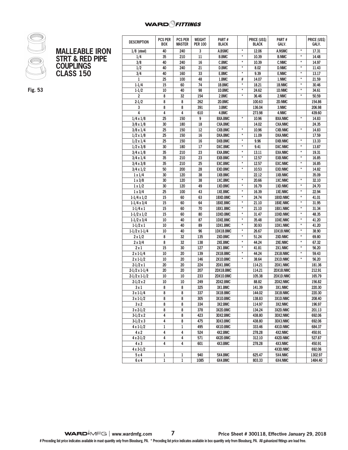## **WARD** *<u>PITTINGS</u>*



| MALLEABLE IRON             |
|----------------------------|
| <b>STRT &amp; RED PIPE</b> |
| <b>COUPLINGS</b>           |
| <b>CLASS 150</b>           |

**Fig. 53**

| <b>DESCRIPTION</b>   | PCS PER<br><b>BOX</b> | <b>PCS PER</b><br><b>MASTER</b> | WEIGHT<br><b>PER 100</b> | PART#<br><b>BLACK</b> |               | <b>PRICE (USS)</b><br><b>BLACK</b> | PART#<br>GALV.  |               | <b>PRICE (USS)</b><br>GALV. |
|----------------------|-----------------------|---------------------------------|--------------------------|-----------------------|---------------|------------------------------------|-----------------|---------------|-----------------------------|
|                      |                       |                                 |                          |                       | $\star$       |                                    |                 | $\star$       |                             |
| $1/8$ (steel)        | 40                    | 240                             | 3                        | A.BSMC                |               | 12.06                              | <b>A.NSMC</b>   |               | 17.31                       |
| 1/4                  | 35                    | 210                             | 11                       | <b>B.BMC</b>          | $\star$       | 10.39                              | <b>B.NMC</b>    | $\star$       | 14.48                       |
| 3/8                  | 40                    | 240                             | 16                       | <b>C.BMC</b>          | $\star$       | 10.39                              | <b>C.NMC</b>    | $^\star$      | 14.97                       |
| 1/2                  | 40                    | 240                             | 21                       | <b>D.BMC</b>          | $\star$       | 8.02                               | <b>D.NMC</b>    | $\pmb{\star}$ | 11.43                       |
| 3/4                  | 40                    | 160                             | 33                       | E.BMC                 | $\star$       | 9.39                               | <b>E.NMC</b>    | $^\star$      | 13.17                       |
| 1                    | 25                    | 100                             | 48                       | 1.BMC                 | #             | 14.07                              | 1.NMC           | $^\star$      | 21.59                       |
| $1 - 1/4$            | 15                    | 60                              | 74                       | 1B.BMC                | $\star$       | 18.21                              | 1B.NMC          | $\star$       | 30.46                       |
| $1 - 1/2$            | 10                    | 40                              | 98                       | 1D.BMC                | $\star$       | 24.62                              | 1D.NMC          | $\star$       | 34.61                       |
| $\overline{c}$       | 8                     | 32                              | 154                      | 2.BMC                 | $\star$       | 36.46                              | 2.NMC           | $^\star$      | 50.59                       |
| $2 - 1/2$            | 8                     | 8                               | 262                      | 2D.BMC                |               | 100.63                             | 2D.NMC          |               | 154.86                      |
| 3                    | 8                     | 8                               | 391                      | 3.BMC                 |               | 136.04                             | 3.NMC           |               | 206.98                      |
| 4                    | 4                     | 4                               | 610                      | 4.BMC                 |               | 273.98                             | 4.NMC           |               | 439.60                      |
| $1/4 \times 1/8$     | 25                    | 150                             | 9                        | <b>BXA.BMC</b>        | $\pmb{\ast}$  | 10.96                              | <b>BXA.NMC</b>  | $\star$       | 14.83                       |
| $3/8 \times 1/8$     | 30                    | 180                             | 18                       | <b>CXA.BMC</b>        |               | 14.02                              | <b>CXA.NMC</b>  |               | 24.35                       |
| $3/8 \times 1/4$     | 25                    | 150                             | 12                       | <b>CXB.BMC</b>        | $^\star$      | 10.96                              | <b>CXB.NMC</b>  | $\star$       | 14.83                       |
| $1/2 \times 1/8$     | 25                    | 150                             | 16                       | <b>DXA.BMC</b>        | $\star$       | 11.09                              | <b>DXA.NMC</b>  |               | 17.59                       |
| $1/2 \times 1/4$     | 25                    | 150                             | 16                       | <b>DXB.BMC</b>        | $\star$       | 9.96                               | <b>DXB.NMC</b>  | $^\star$      | 13.33                       |
| $1/2 \times 3/8$     | 30                    | 180                             | 17                       | DXC.BMC               | $\pmb{\star}$ | 9.41                               | <b>DXC.NMC</b>  | $\star$       | 13.87                       |
| $3/4 \times 1/8$     | 35                    | 210                             | 23                       | <b>EXA.BMC</b>        | $\star$       | 13.11                              | <b>EXA.NMC</b>  | $\star$       | 19.31                       |
| $3/4 \times 1/4$     | 35                    | 210                             | 23                       | <b>EXB.BMC</b>        | $\star$       | 12.57                              | <b>EXB.NMC</b>  | $\star$       | 16.85                       |
| $3/4 \times 3/8$     | 35                    | 210                             | 25                       | <b>EXC.BMC</b>        | $\star$       | 12.57                              | <b>EXC.NMC</b>  | $\star$       | 16.85                       |
| $3/4 \times 1/2$     | 50                    | 200                             | 28                       | <b>EXD.BMC</b>        | $\star$       | 10.53                              | <b>EXD.NMC</b>  | $\star$       | 14.82                       |
| $1 \times 1/4$       | 30                    | 120                             | 38                       | 1XB.BMC               |               | 22.12                              | 1XB.NMC         |               | 35.09                       |
| $1 \times 3/8$       | 30                    | 120                             | 38                       | 1XC.BMC               | $\star$       | 20.66                              | <b>1XC.NMC</b>  | $\pmb{\star}$ | 32.10                       |
| $1 \times 1/2$       | 30                    | 120                             | 49                       | 1XD.BMC               | $^\star$      | 16.79                              | 1XD.NMC         | $^\star$      | 24.70                       |
|                      | 25                    | 100                             | 43                       | 1XE.BMC               | $\star$       | 16.39                              | <b>1XE.NMC</b>  | $^\star$      | 22.94                       |
| $1 \times 3/4$       |                       |                                 |                          |                       | $\star$       |                                    |                 | $\star$       |                             |
| $1-1/4 \times 1/2$   | 15                    | 60                              | 63                       | 1BXD.BMC              | $^\star$      | 24.74                              | <b>1BXD.NMC</b> | $\star$       | 41.01                       |
| $1-1/4 \times 3/4$   | 15                    | 60                              | 64                       | <b>1BXE.BMC</b>       |               | 21.10                              | <b>1BXE.NMC</b> |               | 31.95                       |
| $1-1/4x1$            | 15                    | 60                              | 70                       | 1BX1.BMC              | $\star$       | 21.10                              | 1BX1.NMC        | $\star$       | 31.34                       |
| $1-1/2 \times 1/2$   | 15                    | 60                              | 80                       | 1DXD.BMC              | $\star$       | 31.47                              | <b>1DXD.NMC</b> | $\star$       | 48.35                       |
| $1-1/2 \times 3/4$   | 10                    | 40                              | 87                       | 1DXE.BMC              | $\star$       | 35.48                              | <b>1DXE.NMC</b> | $\star$       | 41.20                       |
| $1-1/2 \times 1$     | 10                    | 40                              | 89                       | 1DX1.BMC              | $^\star$      | 30.93                              | 1DX1.NMC        | $\star$       | 41.20                       |
| $1-1/2 \times 1-1/4$ | 10                    | 40                              | 96                       | <b>1DX1B.BMC</b>      | $\star$       | 26.67                              | 1DX1B.NMC       | $^\star$      | 38.90                       |
| $2 \times 1/2$       | 8                     | 32                              | 135                      | 2XD.BMC               | $\star$       | 51.24                              | 2XD.NMC         | $\star$       | 69.80                       |
| $2 \times 3/4$       | 8                     | 32                              | 138                      | 2XE.BMC               | $^\star$      | 44.24                              | 2XE.NMC         | $^\star$      | 67.32                       |
| 2x1                  | 15                    | 30                              | 127                      | 2X1.BMC               | $\star$       | 41.81                              | 2X1.NMC         | $\star$       | 56.20                       |
| $2 \times 1 - 1/4$   | 10                    | 20                              | 139                      | 2X1B.BMC              | $\star$       | 44.24                              | 2X1B.NMC        | $\star$       | 59.43                       |
| $2 \times 1 - 1/2$   | 10                    | 20                              | 146                      | 2X1D.BMC              | $^\star$      | 38.64                              | 2X1D.NMC        | $\star$       | 56.20                       |
| $2-1/2 \times 1$     | 20                    | 20                              | 224                      | 2DX1.BMC              |               | 114.21                             | 2DX1.NMC        |               | 181.36                      |
| $2-1/2 \times 1-1/4$ | 20                    | 20                              | 207                      | 2DX1B.BMC             |               | 114.21                             | 2DX1B.NMC       |               | 212.91                      |
| $2-1/2 \times 1-1/2$ | 10                    | 10                              | 233                      | 2DX1D.BMC             |               | 105.38                             | 2DX1D.NMC       |               | 165.79                      |
| $2-1/2 \times 2$     | 10                    | 10                              | 249                      | 2DX2.BMC              |               | 88.82                              | 2DX2.NMC        |               | 156.82                      |
| 3x1                  | 8                     | 8                               | 325                      | 3X1.BMC               |               | 141.39                             | 3X1.NMC         |               | 220.30                      |
| $3 \times 1 - 1/4$   | 8                     | 8                               | $\overline{337}$         | 3X1B.BMC              |               | 144.02                             | 3X1B.NMC        |               | 220.30                      |
| 3 x 1-1/2            | 8                     | 8                               | 305                      | 3X1D.BMC              |               | 138.83                             | <b>3X1D.NMC</b> |               | 208.40                      |
| 3x2                  | 8                     | 8                               | 334                      | 3X2.BMC               |               | 114.97                             | 3X2.NMC         |               | 196.97                      |
| $3x2-1/2$            | 8                     | 8                               | 378                      | 3X2D.BMC              |               | 134.24                             | 3X2D.NMC        |               | 201.13                      |
| $3-1/2 \times 2$     | 4                     | 8                               | 423                      | 3DX2.BMC              |               | 438.80                             | 3DX2.NMC        |               | 692.06                      |
| $3-1/2 \times 3$     | 4                     | 8                               | 475                      | 3DX3.BMC              |               | 438.80                             | 3DX3.NMC        |               | 692.06                      |
| $4 \times 1 - 1/2$   | 1                     | 1                               | 495                      | 4X1D.BMC              |               | 333.46                             | <b>4X1D.NMC</b> |               | 684.37                      |
| 4x2                  |                       |                                 |                          | 4X2.BMC               |               | 278.28                             |                 |               |                             |
|                      | 4                     | 4                               | 524                      |                       |               |                                    | 4X2.NMC         |               | 450.91                      |
| $4 \times 2 - 1/2$   | 4                     | 4                               | 571                      | 4X2D.BMC              |               | 312.10                             | 4X2D.NMC        |               | 527.87                      |
| 4 x 3                | 4                     | 4                               | 601                      | 4X3.BMC               |               | 278.28                             | 4X3.NMC         |               | 450.91                      |
| $4 \times 3 - 1/2$   |                       |                                 |                          |                       |               |                                    | <b>4X3D.NMC</b> |               | 692.06                      |
| 5 x 4                | 1                     | 1                               | 940                      | 5X4.BMC               |               | 625.47                             | 5X4.NMC         |               | 1302.97                     |
| 6x4                  | 1                     | $\,1$                           | 1085                     | 6X4.BMC               |               | 803.33                             | 6X4.NMC         |               | 1484.40                     |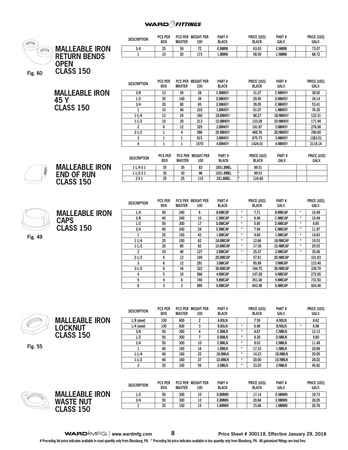

**Fig. 55**

**LOCKNUT CLASS 150**

| <b>PLOVINI IIVII</b> | <b>BOX</b> | <b>MASTER</b> | 100 | <b>BLACK</b>   |         | <b>BLACK</b> | GALV.         |         | GALV. |
|----------------------|------------|---------------|-----|----------------|---------|--------------|---------------|---------|-------|
| $1/8$ (steel)        | 100        | 600           | 2   | A.BSLN         |         | 7.59         | <b>A.NSLN</b> |         | 8.62  |
| $1/4$ (steel)        | 100        | 600           | 3   | <b>B.BSLN</b>  | $\star$ | 6.98         | <b>B.NSLN</b> | $\star$ | 6.98  |
| 3/8                  | 50         | 300           | 4   | <b>C.BMLN</b>  | ÷       | 9.67         | <b>C.NMLN</b> |         | 12.13 |
| 1/2                  | 50         | 300           |     | <b>D.BMLN</b>  | $\star$ | 8.30         | <b>D.NMLN</b> |         | 9.80  |
| 3/4                  | 50         | 300           | 10  | <b>E.BMLN</b>  | $\star$ | 9.03         | <b>E.NMLN</b> |         | 11.49 |
|                      | 40         | 160           | 16  | 1.BMLN         | *       | 17.33        | 1.NMLN        |         | 20.89 |
| $1 - 1/4$            | 40         | 160           | 22  | <b>1B.BMLN</b> | ٠       | 14.23        | 1B.NMLN       |         | 20.05 |
| $1 - 1/2$            | 40         | 160           | 27  | <b>1D.BMLN</b> | $\star$ | 20,00        | 1D.NMLN       |         | 26.02 |
| 2                    | 25         | 100           | 55  | 2.BMLN         | $\star$ | 33.20        | 2.NMLN        |         | 45.82 |

|    |                       | <b>DESCRIPTION</b> | <b>PCS PER</b><br><b>BOX</b> | <b>MASTER</b> | <b>PCS PER WEIGHT PER</b><br>100 | PART#<br><b>BLACK</b> | <b>PRICE (USS)</b><br><b>BLACK</b> | PART#<br><b>GALV.</b> | <b>PRICE (US\$)</b><br><b>GALV.</b> |
|----|-----------------------|--------------------|------------------------------|---------------|----------------------------------|-----------------------|------------------------------------|-----------------------|-------------------------------------|
|    | <b>MALLEABLE IRON</b> | 1/2                | 50                           | 300           | 10                               | <b>D.BMWN</b>         | 17.14                              | <b>D.NMWN</b>         | 19.73                               |
|    | <b>WASTE NUT</b>      | 3/4                | 50                           | 300           | 12                               | <b>E.BMWN</b>         | 20.68                              | <b>E.NMWN</b>         | 28.05                               |
| Ś. | <b>ASS 150</b><br>ωı  |                    | 25                           | 150           | 15                               | 1.BMWN                | 15.48                              | 1.NMWN                | 20.76                               |
|    |                       |                    |                              |               |                                  |                       |                                    |                       |                                     |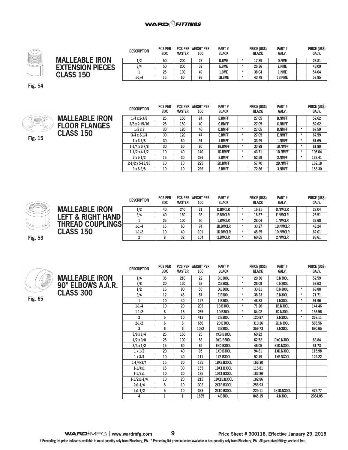

| <b>DESCRIPTION</b> | <b>PCS PER</b><br><b>BOX</b> | <b>MASTER</b> | 100        | PART#<br><b>BLACK</b>                 |                       | <b>PRICE (USS)</b><br><b>BLACK</b> | PART#<br><b>GALV.</b> | PRICE (US\$)<br><b>GALV.</b> |
|--------------------|------------------------------|---------------|------------|---------------------------------------|-----------------------|------------------------------------|-----------------------|------------------------------|
| 1/2                | 50                           | 200           | 23         | <b>D.BME</b>                          |                       | 17.89                              | <b>D.NME</b>          | 28.81                        |
|                    |                              |               |            |                                       |                       |                                    |                       | 43.09<br>54.04               |
| 1-1/4              | 15                           | 60            | 93         | 1B.BME                                |                       | 43.79                              | 1B.NME                | 57.95                        |
|                    | 3/4                          | 50<br>25      | 200<br>100 | <b>PCS PER WEIGHT PER</b><br>32<br>49 | <b>E.BME</b><br>l.BME |                                    | 26.36<br>38.04        | <b>E.NME</b><br>1.NME        |

**Fig. 54**



|                       | <b>DESCRIPTION</b>     | <b>PCS PER</b><br><b>BOX</b> | <b>PCS PER</b><br><b>MASTER</b> | <b>WEIGHT PER</b><br>100 | PART#<br><b>BLACK</b> |         | <b>PRICE (US\$)</b><br><b>BLACK</b> | PART#<br><b>GALV.</b> |   | PRICE (US\$)<br><b>GALV.</b> |
|-----------------------|------------------------|------------------------------|---------------------------------|--------------------------|-----------------------|---------|-------------------------------------|-----------------------|---|------------------------------|
| <b>MALLEABLE IRON</b> | $1/4 \times 2 - 3/8$   | 25                           | 150                             | 24                       | <b>B.BMFF</b>         |         | 27.05                               | <b>B.NMFF</b>         |   | 52.62                        |
| <b>FLOOR FLANGES</b>  | $3/8 \times 2 - 15/16$ | 25                           | 150                             | 40                       | <b>C.BMFF</b>         |         | 27.05                               | <b>C.NMFF</b>         |   | 52.62                        |
|                       | $1/2 \times 3$         | 30                           | 120                             | 46                       | <b>D.BMFF</b>         | $\star$ | 27.05                               | <b>D.NMFF</b>         | ÷ | 67.59                        |
| <b>CLASS 150</b>      | $3/4 \times 3-1/4$     | 30                           | 120                             | 47                       | <b>E.BMFF</b>         | $\star$ | 27.05                               | <b>E.NMFF</b>         | ÷ | 67.59                        |
|                       | $1 \times 3 - 7/8$     | 30                           | 60                              | 91                       | 1.BMFF                | $\star$ | 33.99                               | 1.NMFF                | ÷ | 61.69                        |
|                       | $1-1/4 \times 3-7/8$   | 30                           | 60                              | 80                       | <b>1B.BMFF</b>        | $\star$ | 33.99                               | <b>1B.NMFF</b>        | ÷ | 81.99                        |
|                       | $1-1/2 \times 4-1/2$   | 10                           | 40                              | 140                      | 1D.BMFF               | $\star$ | 43.71                               | 1D.NMFF               | ÷ | 105.04                       |
|                       | $2 \times 5 - 1/2$     | 15                           | 30                              | 226                      | 2.BMFF                | $\star$ | 52.59                               | 2.NMFF                | ÷ | 133.41                       |
|                       | $2-1/2 \times 5-13/16$ | 10                           | 10                              | 225                      | 2D.BMFF               |         | 57.70                               | 2D.NMFF               |   | 162.18                       |
|                       | $3x6-3/8$              | 10                           | 10                              | 286                      | 3.BMFF                |         | 72.86                               | 3.NMFF                |   | 158.30                       |



|                         | <b>DESCRIPTION</b> | <b>PCS PER</b><br><b>BOX</b> | <b>MASTER</b> | <b>PCS PER WEIGHT PER</b><br>100 | PART#<br><b>BLACK</b> | <b>PRICE (USS)</b><br><b>BLACK</b> | PART#<br><b>GALV.</b> | <b>PRICE (US\$)</b><br>GALV. |
|-------------------------|--------------------|------------------------------|---------------|----------------------------------|-----------------------|------------------------------------|-----------------------|------------------------------|
| <b>MALLEABLE IRON</b>   | 1/2                | 40                           | 240           | 21                               | <b>D.BMCLR</b>        | 16.81                              | <b>D.NMCLR</b>        | 22.04                        |
| LEFT & RIGHT HAND       | 3/4                | 40                           | 160           | 33                               | <b>E.BMCLR</b>        | 18.87                              | <b>E.NMCLR</b>        | 25.51                        |
|                         |                    | 25                           | 100           | 50                               | 1.BMCLR               | 28.04                              | 1.NMCLR               | 37.60                        |
| <b>THREAD COUPLINGS</b> | $1 - 1/4$          | 15                           | 60            | 74                               | <b>1B.BMCLR</b>       | 33.27                              | <b>1B.NMCLR</b>       | 48.24                        |
| <b>CLASS 150</b>        | $1 - 1/2$          | 10                           | 40            | 101                              | <b>1D.BMCLR</b>       | 45.35                              | <b>1D.NMCLR</b>       | 62.01                        |
|                         |                    |                              | 32            | 154                              | 2.BMCLR               | 60.65                              | 2.NMCLR               | 83.61                        |

**Fig. 53**



**MALLEABLE IRON 90° ELBOWS A.A.R. CLASS 300 DESCRIPTION PCS PER BOX PCS PER WEIGHT PER MASTER 100 PART # BLACK PRICE (US\$) BLACK PART # GALV. PRICE (US\$) GALV. 1/4 35 210 22 B.B300L \* 29.36 B.N300L 52.59 3/8 20 120 32 C.B300L \* 26.09 C.N300L 53.63 1/2 15 90 55 D.B300L \* 33.81 D.N300L \* 63.88 3/4 12 48 87 E.B300L \* 38.23 E.N300L \* 71.71 1 10 40 127 1.B300L \* 48.83 1.N300L \* 91.96 1-1/4 10 20 203 1B.B300L \* 71.26 1B.N300L 144.46 1-1/2 8 16 265 1D.B300L \* 84.02 1D.N300L \* 156.56 2 5 10 413 2.B300L \* 120.87 2.N300L \* 263.11 2-1/2 6 6 650 2D.B300L 313.26 2D.N300L 585.56 3 6 6 1032 3.B300L 359.73 3.N300L 690.65 3/8 x 1/4 25 150 25 CXB.B300L 60.22 1/2 x 3/8 25 100 58 DXC.B300L 62.52 DXC.N300L 83.84 3/4 x 1/2 15 60 69 EXD.B300L 46.05 EXD.N300L 81.73 1 x 1/2 20 40 95 1XD.B300L 94.81 1XD.N300L 115.98 1 x 3/4 10 40 111 1XE.B300L 92.19 1XE.N300L 129.22 1-1/4x3/4 15 30 135 1BXE.B300L 166.30 1-1/4x1 15 30 155 1BX1.B300L 115.81 1-1/2x1 10 20 185 1DX1.B300L 182.86 1-1/2x1-1/4 10 20 215 1DX1B.B300L 182.86 2x1-1/4 5 10 302 2X1B.B300L 256.93 2x1-1/2 5 10 333 2X1D.B300L 229.11 2X1D.N300L 475.77 4 1 1 1635 4.B300L 845.15 4.N300L 2064.05**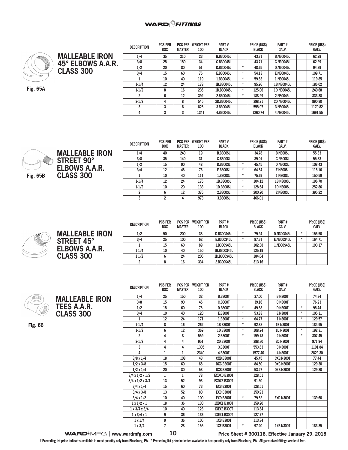-- ………………



**MALLEABLE IRON 45° ELBOWS A.A.R. CLASS 300**

**Fig. 65A**

| <b>DESCRIPTION</b> | PUS PER<br><b>BOX</b> | PUS PER<br><b>MASTER</b> | WEIGHT PER<br>100 | <b>PARI#</b><br><b>BLACK</b> |         | <b>PRICE (USS)</b><br><b>BLACK</b> | <b>PARI#</b><br>GALV. | <b>PRICE (USS)</b><br>GALV. |
|--------------------|-----------------------|--------------------------|-------------------|------------------------------|---------|------------------------------------|-----------------------|-----------------------------|
| 1/4                | 35                    | 210                      | 23                | <b>B.B30045L</b>             |         | 43.71                              | <b>B.N30045L</b>      | 62.29                       |
| 3/8                | 25                    | 150                      | 34                | C.B30045L                    |         | 43.71                              | C.N30045L             | 62.29                       |
| 1/2                | 20                    | 80                       | 51                | D.B30045L                    | $\star$ | 48.65                              | D.N30045L             | 94.89                       |
| 3/4                | 15                    | 60                       | 76                | E.B30045L                    | $\star$ | 54.13                              | E.N30045L             | 109.71                      |
|                    | 10                    | 40                       | 119               | 1.B30045L                    | $\star$ | 59.83                              | 1.N30045L             | 119.85                      |
| $1-1/4$            | 12                    | 24                       | 178               | 1B.B30045L                   | $\star$ | 95.96                              | 1B.N30045L            | 186.02                      |
| $1-1/2$            | 8                     | 16                       | 236               | 1D.B30045L                   | $\star$ | 125.06                             | 1D.N30045L            | 240.68                      |
| 2                  | 6                     | 12                       | 392               | 2.B30045L                    | ÷       | 188.99                             | 2.N30045L             | 333.38                      |
| $2 - 1/2$          | 4                     | 8                        | 545               | 2D.B30045L                   |         | 398.21                             | 2D.N30045L            | 890.80                      |
| 3                  | 3                     | 6                        | 825               | 3.B30045L                    |         | 555.07                             | 3.N30045L             | 1170.82                     |
| 4                  | 3                     | 3                        | 1341              | 4.B30045L                    |         | 1260.74                            | 4.N30045L             | 1691.55                     |

 $\sim$   $\sim$   $\sim$   $\sim$ 

**DOIGE UIGAL** 

 $\sim$   $\sim$   $\sim$   $\sim$ 

 $\frac{1}{2}$ 



**MALLEABLE IRON STREET 90° ELBOWS A.A.R. CLASS 300**

| <b>DESCRIPTION</b> | <b>PCS PER</b><br><b>BOX</b> | <b>MASTER</b> | <b>PCS PER WEIGHT PER</b><br>100 | PART#<br><b>BLACK</b> |   | PRICE (US\$)<br><b>BLACK</b> | PART#<br><b>GALV.</b> | <b>PRICE (US\$)</b><br><b>GALV.</b> |
|--------------------|------------------------------|---------------|----------------------------------|-----------------------|---|------------------------------|-----------------------|-------------------------------------|
| 1/4                | 40                           | 240           | 19                               | <b>B.B300SL</b>       |   | 34.78                        | <b>B.N300SL</b>       | 55.33                               |
| 3/8                | 35                           | 140           | 31                               | <b>C.B300SL</b>       |   | 39.01                        | <b>C.N300SL</b>       | 55.33                               |
| 1/2                | 15                           | 90            | 48                               | <b>D.B300SL</b>       | ÷ | 45.45                        | <b>D.N300SL</b>       | 108.43                              |
| 3/4                | 12                           | 48            | 76                               | <b>E.B300SL</b>       | ÷ | 64.54                        | <b>E.N300SL</b>       | 115.16                              |
|                    | 10                           | 40            | 111                              | 1.B300SL              | ÷ | 75.69                        | 1.N300SL              | 150.59                              |
| $1-1/4$            | 12                           | 24            | 176                              | 1B.B300SL             | ٠ | 104.12                       | <b>1B.N300SL</b>      | 196.70                              |
| $1 - 1/2$          | 10                           | 20            | 133                              | 1D.B300SL             | ÷ | 128.64                       | 1D.N300SL             | 252.86                              |
|                    | 6                            | 12            | 376                              | 2.B300SL              | ÷ | 200.20                       | 2.N300SL              | 395.22                              |
| 3                  | 2                            | 4             | 973                              | 3.B300SL              |   | 466.01                       |                       |                                     |

| <b>MALLEABLE IRON</b><br><b>STREET 45°</b> |
|--------------------------------------------|
| <b>ELBOWS A.A.R.</b><br><b>CLASS 300</b>   |

| <b>DESCRIPTION</b> | <b>PCS PER</b><br><b>BOX</b> | <b>PCS PER</b><br><b>MASTER</b> | <b>WEIGHT PER</b><br>100 | PART#<br><b>BLACK</b> |         | PRICE (US\$)<br><b>BLACK</b> | PART#<br><b>GALV.</b> |   | PRICE (US\$)<br><b>GALV.</b> |
|--------------------|------------------------------|---------------------------------|--------------------------|-----------------------|---------|------------------------------|-----------------------|---|------------------------------|
| 1/2                | 50                           | 200                             | 38                       | D.B300S45L            | $\star$ | 79.94                        | D.N300S45L            | ÷ | 155.50                       |
| 3/4                | 25                           | 100                             | 62                       | E.B300S45L            | ÷       | 87.31                        | <b>E.N300S45L</b>     | ÷ | 164.71                       |
|                    | 15                           | 60                              | 89                       | 1.B300S45L            |         | 102.38                       | 1.N300S45L            |   | 193.17                       |
| 11/4               | 10                           | 40                              | 150                      | 1B.B300S45L           |         | 125.19                       |                       |   |                              |
| 11/2               | 6                            | 24                              | 206                      | 1D.B300S45L           |         | 184.04                       |                       |   |                              |
|                    | 8                            | 16                              | 334                      | 2.B300S45L            |         | 313.16                       |                       |   |                              |

|--|

**MALLEABLE IRON TEES A.A.R. CLASS 300** 

**Fig. 66**

| <b>DESCRIPTION</b>          | <b>PCS PER</b><br><b>BOX</b> | <b>PCS PER</b><br><b>MASTER</b> | <b>WEIGHT PER</b><br>100 | PART#<br><b>BLACK</b> |         | PRICE (US\$)<br><b>BLACK</b> | PART#<br><b>GALV.</b> |          | PRICE (US\$)<br><b>GALV.</b> |
|-----------------------------|------------------------------|---------------------------------|--------------------------|-----------------------|---------|------------------------------|-----------------------|----------|------------------------------|
| 1/4                         | 25                           | 150                             | 32                       | <b>B.B300T</b>        |         | 37.00                        | <b>B.N300T</b>        |          | 74.84                        |
| 3/8                         | 15                           | 90                              | 45                       | <b>C.B300T</b>        |         | 39.16                        | <b>C.N300T</b>        |          | 76.23                        |
| 1/2                         | 15                           | 60                              | 75                       | <b>D.B300T</b>        | $\star$ | 49.88                        | <b>D.N300T</b>        | $\star$  | 95.44                        |
| 3/4                         | 10                           | 40                              | 120                      | <b>E.B300T</b>        | $\star$ | 53.83                        | <b>E.N300T</b>        | $\star$  | 105.11                       |
| 1                           | 12                           | 24                              | 171                      | 1.B300T               | $\star$ | 64.77                        | 1.N300T               | $^\star$ | 129.57                       |
| $1 - 1/4$                   | 8                            | 16                              | 262                      | 1B.B300T              | $\star$ | 92.83                        | 1B.N300T              |          | 184.95                       |
| $1 - 1/2$                   | 6                            | 12                              | 369                      | 1D.B300T              | $\star$ | 108.24                       | 1D.N300T              | $\star$  | 192.31                       |
| $\overline{a}$              | 4                            | 8                               | 559                      | 2.B300T               | $\star$ | 159.78                       | 2.N300T               | $\star$  | 307.45                       |
| $2 - 1/2$                   | 4                            | 4                               | 951                      | 2D.B300T              |         | 388.30                       | 2D.N300T              |          | 971.94                       |
| 3                           | 4                            | 4                               | 1305                     | 3.B300T               |         | 553.63                       | 3.N300T               |          | 1101.84                      |
| 4                           | 1                            | $\mathbf{1}$                    | 2340                     | 4.B300T               |         | 1577.40                      | 4.N300T               |          | 2829.30                      |
| $3/8 \times 1/4$            | 18                           | 108                             | 43                       | CXB.B300T             |         | 45.45                        | CXB.N300T             |          | 77.44                        |
| $1/2 \times 3/8$            | 15                           | 60                              | 68                       | DXC.B300T             |         | 84.50                        | DXC.N300T             |          | 129.30                       |
| $1/2 \times 1/4$            | 20                           | 80                              | 58                       | DXB.B300T             |         | 53.27                        | DXB.N300T             |          | 129.30                       |
| $3/4 \times 1/2 \times 1/2$ | 1                            | 1                               | 78                       | EXDXD.B300T           |         | 128.51                       |                       |          |                              |
| $3/4 \times 1/2 \times 3/4$ | 13                           | 52                              | 93                       | EXDXE.B300T           |         | 91.30                        |                       |          |                              |
| $3/4 \times 1/4$            | 15                           | 60                              | 73                       | <b>EXB.B300T</b>      |         | 128.51                       |                       |          |                              |
| $3/4 \times 3/8$            | 13                           | 52                              | 80                       | <b>EXC.B300T</b>      |         | 150.93                       |                       |          |                              |
| $3/4 \times 1/2$            | 10                           | 40                              | 100                      | <b>EXD.B300T</b>      | $\star$ | 79.52                        | <b>EXD.N300T</b>      |          | 139.60                       |
| $1 \times 1/2 \times 1$     | 18                           | 36                              | 130                      | 1XDX1.B300T           |         | 159.20                       |                       |          |                              |
| $1 \times 3/4 \times 3/4$   | 10                           | 40                              | 123                      | 1XEXE.B300T           |         | 113.84                       |                       |          |                              |
| $1 \times 3/4 \times 1$     | 9                            | 36                              | 136                      | 1XEX1.B300T           |         | 127.77                       |                       |          |                              |
| $1 \times 1/4$              | 9                            | 36                              | 105                      | 1XB.B300T             |         | 113.84                       |                       |          |                              |
| $1 \times 3/4$              | 7                            | 28                              | 155                      | <b>1XE.B300T</b>      | $\star$ | 97.20                        | <b>1XE.N300T</b>      |          | 183.35                       |

**WARD**<sup> $\bullet$ </sup>MFG | www.wardmfg.com **10 Price Sheet # 300118, Effective January 29, 2018**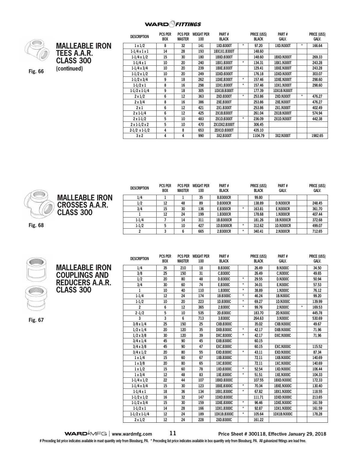

**(continued) Fig. 66**

| <b>MALLEABLE IRON</b><br><b>TEES A.A.R.</b><br><b>CLASS 300</b><br>(continued) |  |
|--------------------------------------------------------------------------------|--|
|                                                                                |  |

| <b>DESCRIPTION</b>          | <b>PCS PER</b> | <b>PCS PER</b> | <b>WEIGHT PER</b> | PART#             |         | PRICE (US\$) | PART#              |         | PRICE (US\$) |
|-----------------------------|----------------|----------------|-------------------|-------------------|---------|--------------|--------------------|---------|--------------|
|                             | <b>BOX</b>     | <b>MASTER</b>  | 100               | <b>BLACK</b>      |         | BLACK        | Galv.              |         | Galv.        |
| $1 \times 1/2$              | 8              | 32             | 141               | 1XD.B300T         | *       | 97.20        | <b>1XD.N300T</b>   | $\ast$  | 166.64       |
| $1-1/4 \times 1 \times 1$   | 14             | 28             | 193               | 1BX1X1.B300T      |         | 148.60       |                    |         |              |
| $1-1/4 \times 1/2$          | 15             | 30             | 180               | 1BXD.B300T        |         | 148.60       | 1BXD.N300T         |         | 269.33       |
| $1-1/4 \times 1$            | 10             | 20             | 240               | 1BX1.B300T        | $\star$ | 134.31       | <b>1BX1.N300T</b>  |         | 243.28       |
| $1-1/4 \times 3/4$          | 10             | 20             | 239               | <b>1BXE.B300T</b> |         | 129.41       | 1BXE.N300T         |         | 243.28       |
| $1-1/2 \times 1/2$          | 10             | 20             | 249               | 1DXD.B300T        |         | 176.18       | 1DXD.N300T         |         | 303.07       |
| $1-1/2 \times 3/4$          | 9              | 18             | 262               | 1DXE.B300T        | $\star$ | 157.46       | <b>1DXE.N300T</b>  |         | 298.60       |
| $1-1/2 \times 1$            | 8              | 16             | 298               | 1DX1.B300T        | $\star$ | 157.46       | <b>1DX1.N300T</b>  |         | 298.60       |
| $1-1/2 \times 1-1/4$        | 9              | 18             | 305               | 1DX1B.B300T       |         | 177.39       | <b>1DX1B.N300T</b> |         |              |
| $2 \times 1/2$              | 6              | 12             | 363               | 2XD.B300T         | $\star$ | 253.86       | <b>2XD.N300T</b>   | $\star$ | 476.27       |
| $2 \times 3/4$              | 8              | 16             | 386               | <b>2XE.B300T</b>  |         | 253.86       | <b>2XE.N300T</b>   |         | 476.27       |
| 2x1                         | 6              | 12             | 421               | 2X1.B300T         |         | 253.86       | 2X1.N300T          |         | 402.49       |
| $2 \times 1 - 1/4$          | 6              | 12             | 425               | 2X1B.B300T        |         | 261.04       | <b>2X1B.N300T</b>  |         | 574.94       |
| $2 \times 1 - 1/2$          | 5              | 10             | 483               | 2X1D.B300T        | $\star$ | 236.09       | 2X1D.N300T         |         | 442.38       |
| $2 \times 1 - 1/2 \times 2$ | 5              | 10             | 470               | 2X1DX2.B300T      |         | 306.45       |                    |         |              |
| $2-1/2 \times 1-1/2$        | 4              | 8              | 653               | 2DX1D.B300T       |         | 435.10       |                    |         |              |
| 3x2                         | 4              | 4              | 990               | 3X2.B300T         |         | 1104.79      | 3X2.N300T          |         | 1982.65      |



**MALLI** CROS **CLASS** 

**CLASS 300** 

|                   | <b>DESCRIPTION</b> | <b>PCS PER</b><br><b>BOX</b> | <b>PCS PER</b><br><b>MASTER</b> | <b>WEIGHT PER</b><br>100 | PART#<br><b>BLACK</b> | <b>PRICE (USS)</b><br><b>BLACK</b> | PART#<br><b>GALV.</b> | PRICE (US\$)<br><b>GALV.</b> |
|-------------------|--------------------|------------------------------|---------------------------------|--------------------------|-----------------------|------------------------------------|-----------------------|------------------------------|
| <b>EABLE IRON</b> | 1/4                |                              |                                 | 35                       | <b>B.B300CR</b>       | 99.80                              |                       |                              |
| SES A.A.R.        | 1/2                | 12                           | 48                              | 89                       | <b>D.B300CR</b>       | 138.89                             | <b>D.N300CR</b>       | 248.45                       |
|                   | 3/4                | 15                           | 30                              | 136                      | <b>E.B300CR</b>       | 163.81                             | <b>E.N300CR</b>       | 361.70                       |
| $\cdot$ 300       |                    | 12                           | 24                              | 199                      | 1.B300CR              | 178.68                             | 1.N300CR              | 407.44                       |
|                   | $1 - 1/4$          |                              | 14                              | 311                      | 1B.B300CR             | 181.26                             | <b>1B.N300CR</b>      | 372.68                       |
|                   | $1-1/2$            |                              | 10                              | 427                      | 1D.B300CR             | 312.62                             | <b>1D.N300CR</b>      | 499.07                       |
|                   |                    |                              |                                 | 665                      | 2.B300CR              | 340.41                             | 2.N300CR              | 712.65                       |

 **PCS PER WEIGHT PER** 



**MALLEABLE IRON COUPLINGS AND REDUCERS A.A.R. DESCRIPTION PCS PER BOX MASTER 100 BLACK PRICE (US\$) BLACK GALV. PRICE (US\$) GALV. 1/4 35 210 18 B.B300C 26.49 B.N300C 34.50 3/8 25 150 31 C.B300C 26.49 C.N300C 49.65 1/2 20 80 48 D.B300C \* 29.55 D.N300C 50.94 3/4 30 60 74 E.B300C \* 34.01 E.N300C 57.53 1 10 40 110 1.B300C \* 38.89 1.N300C 76.12 1-1/4 12 24 174 1B.B300C \* 46.24 1B.N300C 99.20 1-1/2 10 20 223 1D.B300C \* 69.27 1D.N300C 139.99 2 6 12 365 2.B300C \* 99.76 2.N300C \* 169.53 2 -1/2 5 10 535 2D.B300C 183.70 2D.N300C 445.78 3 3 6 713 3.B300C 264.63 3.N300C 530.69 3/8 x 1/4 25 150 25 CXB.B300C 35.02 CXB.N300C 49.67 1/2 x 1/4 20 120 35 DXB.B300C \* 42.17 DXB.N300C 71.96 1/2 x 3/8 30 120 39 DXC.B300C \* 42.17 DXC.N300C 71.96 3/4 x 1/4 45 90 45 EXB.B300C 60.15 3/4 x 3/8 45 90 47 EXC.B300C 60.15 EXC.N300C 115.52 3/4 x 1/2 20 80 55 EXD.B300C \* 43.11 EXD.N300C 87.34 1 x 1/4 15 60 67 1XB.B300C 72.11 1XB.N300C 140.69 1 x 3/8 20 80 65 1XC.B300C 72.11 1XC.N300C 140.69 1 x 1/2 15 60 78 1XD.B300C \* 52.54 1XD.N300C 106.44 1 x 3/4 12 48 83 1XE.B300C \* 51.51 1XE.N300C 104.33 1-1/4 x 1/2 22 44 107 1BXD.B300C 107.55 1BXD.N300C 172.33 1-1/4 x 3/4 15 30 123 1BXE.B300C \* 70.34 1BXE.N300C 130.40 1-1/4 x 1 18 36 134 1BX1.B300C \* 67.82 1BX1.N300C 118.55 1-1/2 x 1/2 16 32 147 1DXD.B300C 111.71 1DXD.N300C 213.65 1-1/2 x 3/4 15 30 159 1DXE.B300C \* 96.46 1DXE.N300C 161.59 1-1/2 x 1 14 28 166 1DX1.B300C \* 92.87 1DX1.N300C 161.59 1-1/2 x 1-1/4 12 24 189 1DX1B.B300C \* 105.64 1DX1B.N300C 178.28 2 x 1/2 12 24 228 2XD.B300C 161.22**

**PART #**

**www.wardmfg.com 11 Price Sheet # 300118, Effective January 29, 2018**

**PART #**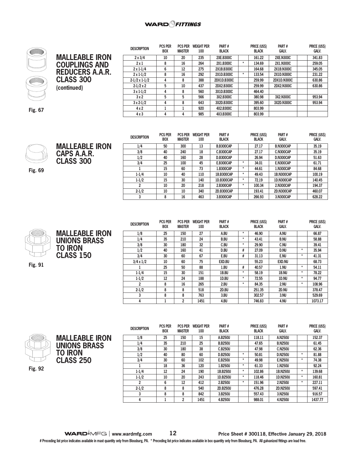#### **WARD**OFITTINGS



## **MALLEABLE IRON COUPLINGS AND REDUCERS A.A.R. CLASS 300 (continued)**

| <b>DESCRIPTION</b>   | <b>PCS PER</b><br><b>BOX</b> | <b>PCS PER</b><br><b>MASTER</b> | <b>WEIGHT PER</b><br>100 | PART#<br><b>BLACK</b> | PRICE (US\$)<br><b>BLACK</b> |        | PART#<br><b>GALV.</b> | PRICE (US\$)<br><b>GALV.</b> |
|----------------------|------------------------------|---------------------------------|--------------------------|-----------------------|------------------------------|--------|-----------------------|------------------------------|
| $2 \times 3/4$       | 10                           | 20                              | 235                      | <b>2XE.B300C</b>      |                              | 161.22 | <b>2XE.N300C</b>      | 341.83                       |
| 2x1                  | 8                            | 16                              | 264                      | 2X1.B300C             | $\star$                      | 134.69 | 2X1.N300C             | 259.05                       |
| $2 \times 1 - 1/4$   | 6                            | 12                              | 275                      | 2X1B, B300C           |                              | 164.68 | <b>2X1B.N300C</b>     | 345.05                       |
| $2 \times 1 - 1/2$   | 8                            | 16                              | 292                      | 2X1D.B300C            | $\star$                      | 133.54 | 2X1D.N300C            | 231.22                       |
| $2-1/2 \times 1-1/2$ | 4                            | 8                               | 388                      | 2DX1D.B300C           |                              | 259.99 | 2DX1D.N300C           | 630.86                       |
| $2-1/2 \times 2$     | 5                            | 10                              | 437                      | 2DX2.B300C            |                              | 259.99 | 2DX2.N300C            | 630.86                       |
| $3x1-1/2$            | 4                            | 8                               | 560                      | 3X1D.B300C            |                              | 464.40 |                       |                              |
| 3x2                  | 5                            | 5                               | 566                      | 3X2.B300C             |                              | 380.98 | 3X2.N300C             | 953.94                       |
| $3x2-1/2$            | 4                            | 8                               | 643                      | 3X2D.B300C            |                              | 395.60 | 3X2D.N300C            | 953.94                       |
| 4x2                  |                              |                                 | 920                      | 4X2.B300C             |                              | 803.99 |                       |                              |
| 4x3                  | 4                            | 4                               | 985                      | 4X3.B300C             |                              | 803.99 |                       |                              |

**Fig. 67**



**MALLEABLE IRON CAPS A.A.R. CLASS 300**

**Fig. 69**

| <b>DESCRIPTION</b> | <b>PCS PER</b><br><b>BOX</b> | <b>PCS PER</b><br><b>MASTER</b> | <b>WEIGHT PER</b><br>100 | PART#<br><b>BLACK</b> | PRICE (US\$)<br><b>BLACK</b> |        | PART#<br><b>GALV.</b> | PRICE (US\$)<br><b>GALV.</b> |
|--------------------|------------------------------|---------------------------------|--------------------------|-----------------------|------------------------------|--------|-----------------------|------------------------------|
| 1/4                | 50                           | 300                             | 13                       | <b>B.B300CAP</b>      |                              | 27.17  | <b>B.N300CAP</b>      | 35.19                        |
| 3/8                | 40                           | 240                             | 18                       | C.B300CAP             |                              | 27.17  | <b>C.N300CAP</b>      | 35.19                        |
| 1/2                | 40                           | 160                             | 28                       | <b>D.B300CAP</b>      |                              | 26.94  | D.N300CAP             | 51.63                        |
| 3/4                | 25                           | 100                             | 45                       | <b>E.B300CAP</b>      | *                            | 34.01  | <b>E.N300CAP</b>      | 61.71                        |
|                    | 15                           | 60                              | 73                       | 1.B300CAP             | *                            | 44.61  | 1.N300CAP             | 84.68                        |
| $1 - 1/4$          | 10                           | 40                              | 110                      | 1B.B300CAP            | *                            | 49.43  | <b>1B.N300CAP</b>     | 100.19                       |
| $1 - 1/2$          | 15                           | 30                              | 140                      | 1D.B300CAP            | *                            | 72.19  | <b>1D.N300CAP</b>     | 140.45                       |
| 2                  | 10                           | 20                              | 218                      | 2.B300CAP             | *                            | 100.34 | 2.N300CAP             | 194.37                       |
| $2 - 1/2$          | 10                           | 10                              | 340                      | 2D.B300CAP            |                              | 193.41 | 2D.N300CAP            | 460.07                       |
| 3                  | 8                            | 16                              | 463                      | 3.B300CAP             |                              | 266.93 | 3.N300CAP             | 628.22                       |



**MALLEABLE IRON UNIONS BRASS TO IRON CLASS 150** 

**Fig. 91**

| <b>DESCRIPTION</b> | <b>PCS PER</b><br><b>BOX</b> | <b>PCS PER</b><br><b>MASTER</b> | <b>WEIGHT PER</b><br>100 | PART#<br><b>BLACK</b> | PRICE (US\$)<br><b>BLACK</b> |        | PART#<br><b>GALV.</b> |         | PRICE (US\$)<br><b>GALV.</b> |
|--------------------|------------------------------|---------------------------------|--------------------------|-----------------------|------------------------------|--------|-----------------------|---------|------------------------------|
| 1/8                | 25                           | 150                             | 27                       | A.BU                  | $\ast$                       | 46.90  | A.NU                  |         | 66.87                        |
| 1/4                | 35                           | 210                             | 24                       | <b>B.BU</b>           | $\star$                      | 43.41  | <b>B.NU</b>           |         | 58.88                        |
| 3/8                | 30                           | 180                             | 32                       | C.BU                  | $\star$                      | 29.90  | C.NU                  |         | 39.41                        |
| 1/2                | 40                           | 160                             | 41                       | D.BU                  | #                            | 27.09  | <b>D.NU</b>           | $\star$ | 35.94                        |
| 3/4                | 30                           | 60                              | 67                       | E.BU                  | #                            | 31.13  | E.NU                  | $\star$ | 41.31                        |
| $3/4 \times 1/2$   | 10                           | 60                              | 75                       | EXD.BU                |                              | 55.23  | <b>EXD.NU</b>         |         | 68.73                        |
|                    | 25                           | 50                              | 88                       | 1.BU                  | #                            | 40.57  | 1.NU                  | $\star$ | 54.11                        |
| $1 - 1/4$          | 15                           | 30                              | 151                      | 1B.BU                 | $\star$                      | 58.19  | 1B.NU                 | $\star$ | 78.22                        |
| $1 - 1/2$          | 12                           | 24                              | 188                      | 1D.BU                 | $\star$                      | 72.55  | 1D.NU                 | $\star$ | 94.77                        |
| 2                  | 8                            | 16                              | 265                      | 2.BU                  | $\star$                      | 84.35  | 2.NU                  | $\star$ | 108.96                       |
| $2 - 1/2$          | 8                            | 8                               | 518                      | 2D.BU                 |                              | 251.35 | 2D.NU                 |         | 378.47                       |
| 3                  | 8                            | 8                               | 763                      | 3.BU                  |                              | 302.57 | 3.NU                  |         | 529.69                       |
| 4                  |                              | 2                               | 1451                     | 4.BU                  |                              | 746.83 | 4.NU                  |         | 1073.17                      |

| <b>MALLEABLE IRON</b><br><b>UNIONS BRASS</b> |
|----------------------------------------------|
| <b>TO IRON</b>                               |
| <b>CLASS 250</b>                             |

**Fig. 92**

| <b>DESCRIPTION</b> | <b>PCS PER</b><br><b>BOX</b> | <b>PCS PER</b><br><b>MASTER</b> | <b>WEIGHT PER</b><br>100 | PART#<br><b>BLACK</b> | PRICE (US\$)<br><b>BLACK</b> |        | PART#<br><b>GALV.</b> |         | PRICE (US\$)<br><b>GALV.</b> |
|--------------------|------------------------------|---------------------------------|--------------------------|-----------------------|------------------------------|--------|-----------------------|---------|------------------------------|
| 1/8                | 25                           | 150                             | 15                       | A.B250U               |                              | 118.11 | A.N250U               |         | 152.37                       |
| 1/4                | 35                           | 210                             | 25                       | <b>B.B250U</b>        |                              | 47.65  | <b>B.N250U</b>        |         | 61.45                        |
| 3/8                | 30                           | 180                             | 38                       | C.B250U               |                              | 47.98  | <b>C.N250U</b>        |         | 62.36                        |
| 1/2                | 40                           | 80                              | 60                       | <b>D.B250U</b>        | $\star$                      | 50.81  | <b>D.N250U</b>        | $\ast$  | 81.88                        |
| 3/4                | 30                           | 60                              | 102                      | <b>E.B250U</b>        | $\star$                      | 49.98  | <b>E.N250U</b>        | $\ast$  | 74.38                        |
|                    | 18                           | 36                              | 120                      | 1.B250U               | $\star$                      | 61.33  | 1.N250U               |         | 92.24                        |
| $1 - 1/4$          | 12                           | 24                              | 190                      | 1B.B250U              | $\star$                      | 102.86 | 1B.N250U              | $\star$ | 139.68                       |
| $1 - 1/2$          | 10                           | 20                              | 243                      | 1D.B250U              | $\star$                      | 118.46 | 1D.N250U              | $\star$ | 160.81                       |
| 2                  | 6                            | 12                              | 412                      | 2.B250U               | $\star$                      | 151.96 | 2.N250U               | $\ast$  | 227.11                       |
| $2 - 1/2$          | 8                            | 8                               | 540                      | 2D.B250U              |                              | 476.28 | 2D.N250U              |         | 597.41                       |
| 3                  | 8                            | 8                               | 842                      | 3.B250U               |                              | 557.43 | 3.N250U               |         | 916.57                       |
| 4                  |                              | 2                               | 1451                     | 4.B250U               |                              | 988.01 | 4.N250U               |         | 1437.77                      |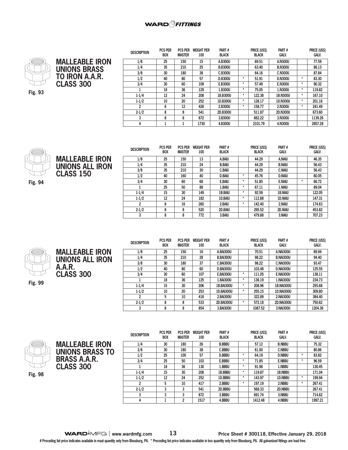



**MALLEABLE IRON UNIONS ALL IRON**

**CLASS 150** 

| <b>DESCRIPTION</b> | <b>PCS PER</b><br><b>BOX</b> | <b>PCS PER</b><br><b>MASTER</b> | <b>WEIGHT PER</b><br>100 | Part#<br><b>BLACK</b> | <b>PRICE (USS)</b><br><b>BLACK</b> |         | Part#<br><b>GALV.</b> |         | PRICE (USS)<br><b>GALV.</b> |
|--------------------|------------------------------|---------------------------------|--------------------------|-----------------------|------------------------------------|---------|-----------------------|---------|-----------------------------|
| 1/8                | 25                           | 150                             | 15                       | A.B300U               |                                    | 69.51   | A.N300U               |         | 77.59                       |
| 1/4                | 35                           | 210                             | 25                       | <b>B.B300U</b>        |                                    | 63.40   | <b>B.N300U</b>        |         | 86.13                       |
| 3/8                | 30                           | 180                             | 38                       | C.B300U               |                                    | 64.16   | <b>C.N300U</b>        |         | 87.84                       |
| 1/2                | 40                           | 80                              | 57                       | <b>D.B300U</b>        | ۰                                  | 51.91   | <b>D.N300U</b>        | $\ast$  | 83.30                       |
| 3/4                | 30                           | 60                              | 109                      | E.B300U               | $\star$                            | 57.49   | <b>E.N300U</b>        | $\star$ | 90.32                       |
|                    | 18                           | 36                              | 129                      | 1.B300U               | $\star$                            | 75.05   | 1.N300U               | $\ast$  | 119.82                      |
| $1 - 1/4$          | 12                           | 24                              | 208                      | 1B.B300U              | $\star$                            | 122.38  | 1B.N300U              | $\ast$  | 167.10                      |
| $1 - 1/2$          | 10                           | 20                              | 252                      | 1D.B300U              | $\star$                            | 128.17  | 1D.N300U              | $\ast$  | 201.18                      |
| $\overline{2}$     | 6                            | 12                              | 428                      | 2.B300U               | $\ast$                             | 158.77  | 2.N300U               | $\ast$  | 241.49                      |
| $2 - 1/2$          | 8                            | 8                               | 541                      | 2D.B300U              |                                    | 511.87  | <b>2D.N300U</b>       |         | 673.60                      |
| 3                  | 8                            | 8                               | 872                      | 3.B300U               |                                    | 662.22  | 3.N300U               |         | 1139.26                     |
| 4                  |                              |                                 | 1730                     | 4.B300U               |                                    | 2101.79 | 4.N300U               |         | 2857.28                     |



**Fig. 94**

| <b>DESCRIPTION</b> | <b>PCS PER</b> | <b>PCS PER</b> | <b>WEIGHT PER</b> | PART#         |         | PRICE (US\$) | PART#          |        | PRICE (US\$) |
|--------------------|----------------|----------------|-------------------|---------------|---------|--------------|----------------|--------|--------------|
|                    | <b>BOX</b>     | <b>MASTER</b>  | 100               | <b>BLACK</b>  |         | <b>BLACK</b> | <b>GALV.</b>   |        | <b>GALV.</b> |
| 1/8                | 25             | 150            | 13                | A.BAIU        |         | 44.29        | A.NAIU         |        | 46.35        |
| 1/4                | 35             | 210            | 24                | <b>B.BAIU</b> |         | 44.29        | <b>B.NAIU</b>  |        | 56.43        |
| 3/8                | 35             | 210            | 30                | <b>C.BAIU</b> |         | 44.29        | <b>C.NAIU</b>  |        | 56.43        |
| 1/2                | 40             | 160            | 40                | <b>D.BAIU</b> | $\star$ | 45.76        | <b>D.NAIU</b>  |        | 60.05        |
| 3/4                | 30             | 60             | 68                | E.BAIU        | $^\ast$ | 51.85        | E.NAIU         | $\ast$ | 66.72        |
|                    | 25             | 50             | 88                | 1.BAIU        | $\star$ | 67.11        | 1.NAIU         |        | 89.04        |
| $1 - 1/4$          | 15             | 30             | 149               | 1B.BAIU       | $\star$ | 92.59        | <b>1B.NAIU</b> |        | 122.05       |
| $1 - 1/2$          | 12             | 24             | 182               | 1D.BAIU       | $\star$ | 112.88       | <b>1D.NAIU</b> |        | 147.31       |
| $\overline{2}$     | 8              | 16             | 260               | 2.BAIU        | $\star$ | 142.40       | 2.NAIU         |        | 174.63       |
| $2 - 1/2$          | 8              | 8              | 520               | 2D.BAIU       |         | 295.52       | 2D.NAIU        |        | 453.82       |
| 3                  | 8              | 8              | 772               | 3.BAIU        |         | 479.88       | 3.NAIU         |        | 707.23       |

**Fig. 99**

**MALLEABLE IRON UNIONS ALL IRON A.A.R. CLASS 300** 

| <b>DESCRIPTION</b> | <b>PCS PER</b> | <b>PCS PER</b> | <b>WEIGHT PER</b> | PART#             |         | PRICE (US\$) | PART#             | PRICE (US\$) |
|--------------------|----------------|----------------|-------------------|-------------------|---------|--------------|-------------------|--------------|
|                    | <b>BOX</b>     | <b>MASTER</b>  | 100               | <b>BLACK</b>      |         | <b>BLACK</b> | <b>GALV.</b>      | <b>GALV.</b> |
| 1/8                | 25             | 150            | 16                | A.BAI300U         |         | 70.51        | <b>A.NAI300U</b>  | 89.94        |
| 1/4                | 35             | 210            | 28                | <b>B.BAI300U</b>  |         | 98.22        | <b>B.NAI300U</b>  | 94.40        |
| 3/8                | 30             | 180            | 37                | <b>C.BAI300U</b>  |         | 98.22        | <b>C.NAI300U</b>  | 93.47        |
| 1/2                | 40             | 80             | 60                | <b>D.BAI300U</b>  |         | 103.48       | <b>D.NAI300U</b>  | 125.55       |
| 3/4                | 30             | 60             | 107               | <b>E.BAI300U</b>  | $\ast$  | 111.05       | <b>E.NAI300U</b>  | 138.11       |
|                    | 18             | 36             | 125               | 1.BAI300U         | $\ast$  | 136.19       | 1.NAI300U         | 234.73       |
| $1 - 1/4$          | 15             | 30             | 206               | <b>1B.BAI300U</b> | $\star$ | 208.96       | <b>1B.NAI300U</b> | 255.68       |
| $1 - 1/2$          | 10             | 20             | 253               | 1D.BAI300U        | $\ast$  | 255.15       | <b>1D.NAI300U</b> | 309.80       |
| 2                  | 5              | 10             | 418               | 2.BAI300U         |         | 322.89       | 2.NAI300U         | 384.40       |
| $2 - 1/2$          | 8              | 8              | 533               | <b>2D.BAI300U</b> | $\ast$  | 572.18       | <b>2D.NAI300U</b> | 750.62       |
| 3                  | 8              | 8              | 854               | 3.BAI300U         |         | 1087.52      | 3.NAI300U         | 1204.36      |



|                        | <b>DESCRIPTION</b> | <b>PCS PER</b><br><b>BOX</b> | <b>PCS PER</b><br><b>MASTER</b> | <b>WEIGHT PER</b><br>100 | PART#<br><b>BLACK</b> |         | PRICE (US\$)<br><b>BLACK</b> | PART#<br><b>GALV.</b> |         | PRICE (US\$)<br><b>GALV.</b> |
|------------------------|--------------------|------------------------------|---------------------------------|--------------------------|-----------------------|---------|------------------------------|-----------------------|---------|------------------------------|
| <b>MALLEABLE IRON</b>  | 1/4                | 30                           | 180                             | 26                       | <b>B.BBBU</b>         |         | 57.12                        | <b>B.NBBU</b>         |         | 75.32                        |
| <b>UNIONS BRASS TO</b> | 3/8                | 30                           | 180                             | 38                       | <b>C.BBBU</b>         |         | 61.00                        | <b>C.NBBU</b>         |         | 80.86                        |
|                        | 1/2                | 25                           | 100                             | 57                       | <b>D.BBBU</b>         | $\ast$  | 64.19                        | <b>D.NBBU</b>         | $\star$ | 83.82                        |
| <b>BRASS A.A.R.</b>    | 3/4                | 25                           | 50                              | 103                      | E.BBBU                | ÷       | 71.85                        | <b>E.NBBU</b>         | $\star$ | 96.59                        |
| <b>CLASS 300</b>       |                    | 18                           | 36                              | 130                      | 1.BBBU                | ÷       | 91.98                        | 1.NBBU                |         | 130.45                       |
|                        | $1-1/4$            | 15                           | 30                              | 208                      | 1B.BBBU               |         | 119.87                       | 1B.NBBU               |         | 171.04                       |
|                        | $1 - 1/2$          | 12                           | 24                              | 252                      | 1D.BBBU               | $\star$ | 143.97                       | 1D.NBBU               | $\star$ | 199.94                       |
|                        |                    | 5                            | 10                              | 417                      | 2.BBBU                | ÷       | 197.19                       | 2.NBBU                | $\star$ | 267.41                       |
|                        | $2 - 1/2$          | 3                            |                                 | 541                      | 2D.BBBU               |         | 568.33                       | 2D.NBBU               |         | 267.41                       |
|                        |                    | 3                            |                                 | 872                      | 3.BBBU                |         | 691.74                       | 3.NBBU                |         | 714.62                       |
|                        |                    |                              | 2                               | 1517                     | 4.BBBU                |         | 1412.48                      | 4.NBBU                |         | 1997.21                      |